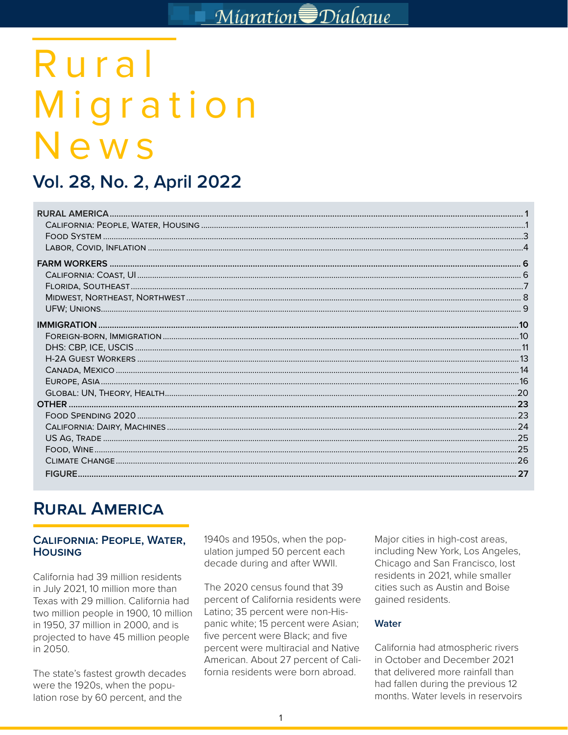# Rural Migration News

# Vol. 28, No. 2, April 2022

# **RURAL AMERICA**

#### **CALIFORNIA: PEOPLE, WATER, HOUSING**

California had 39 million residents in July 2021, 10 million more than Texas with 29 million. California had two million people in 1900, 10 million in 1950, 37 million in 2000, and is projected to have 45 million people in 2050.

The state's fastest growth decades were the 1920s, when the population rose by 60 percent, and the

1940s and 1950s, when the population jumped 50 percent each decade during and after WWII.

The 2020 census found that 39 percent of California residents were Latino; 35 percent were non-Hispanic white; 15 percent were Asian; five percent were Black; and five percent were multiracial and Native American. About 27 percent of California residents were born abroad.

Major cities in high-cost areas, including New York, Los Angeles, Chicago and San Francisco, lost residents in 2021, while smaller cities such as Austin and Boise gained residents.

#### **Water**

California had atmospheric rivers in October and December 2021 that delivered more rainfall than had fallen during the previous 12 months. Water levels in reservoirs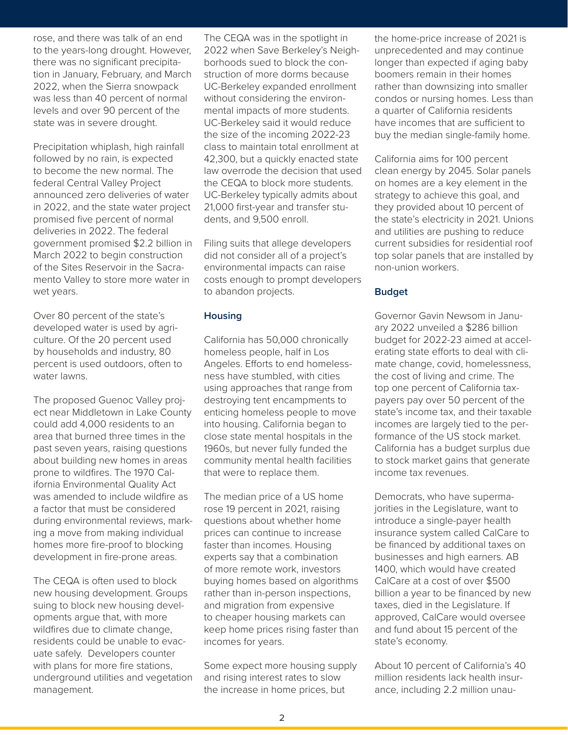rose, and there was talk of an end to the years-long drought. However, there was no significant precipitation in January, February, and March 2022, when the Sierra snowpack was less than 40 percent of normal levels and over 90 percent of the state was in severe drought.

Precipitation whiplash, high rainfall followed by no rain, is expected to become the new normal. The federal Central Valley Project announced zero deliveries of water in 2022, and the state water project promised five percent of normal deliveries in 2022. The federal government promised \$2.2 billion in March 2022 to begin construction of the Sites Reservoir in the Sacramento Valley to store more water in wet years.

Over 80 percent of the state's developed water is used by agriculture. Of the 20 percent used by households and industry, 80 percent is used outdoors, often to water lawns.

The proposed Guenoc Valley project near Middletown in Lake County could add 4,000 residents to an area that burned three times in the past seven years, raising questions about building new homes in areas prone to wildfires. The 1970 California Environmental Quality Act was amended to include wildfire as a factor that must be considered during environmental reviews, marking a move from making individual homes more fire-proof to blocking development in fire-prone areas.

The CEQA is often used to block new housing development. Groups suing to block new housing developments argue that, with more wildfires due to climate change, residents could be unable to evacuate safely. Developers counter with plans for more fire stations, underground utilities and vegetation management.

end The CEQA was in the spotlight in the home-price increase However, 2022 when Save Berkeley's Neigh-<br>
ecipita-<br>
borhoods sued to block the con-<br>
longer than expected if aging l<br>
and March struction of more dorms because<br>
boomers remain in their home<br>
wepack UC-Berkeley expanded en 2022 when Save Berkeley's Neighborhoods sued to block the construction of more dorms because UC-Berkeley expanded enrollment without considering the environmental impacts of more students. UC-Berkeley said it would reduce the size of the incoming 2022-23 class to maintain total enrollment at 42,300, but a quickly enacted state law overrode the decision that used the CEQA to block more students. UC-Berkeley typically admits about 21,000 first-year and transfer students, and 9,500 enroll.

> Filing suits that allege developers did not consider all of a project's environmental impacts can raise costs enough to prompt developers to abandon projects.

#### **Housing**

California has 50,000 chronically homeless people, half in Los Angeles. Efforts to end homelessness have stumbled, with cities using approaches that range from destroying tent encampments to enticing homeless people to move into housing. California began to close state mental hospitals in the 1960s, but never fully funded the community mental health facilities that were to replace them.

The median price of a US home rose 19 percent in 2021, raising questions about whether home prices can continue to increase faster than incomes. Housing experts say that a combination of more remote work, investors buying homes based on algorithms rather than in-person inspections, and migration from expensive to cheaper housing markets can keep home prices rising faster than incomes for years.

Some expect more housing supply and rising interest rates to slow the increase in home prices, but

the home-price increase of 2021 is unprecedented and may continue longer than expected if aging baby boomers remain in their homes rather than downsizing into smaller condos or nursing homes. Less than a quarter of California residents have incomes that are sufficient to buy the median single-family home.

California aims for 100 percent clean energy by 2045. Solar panels on homes are a key element in the strategy to achieve this goal, and they provided about 10 percent of the state's electricity in 2021. Unions and utilities are pushing to reduce current subsidies for residential roof top solar panels that are installed by non-union workers.

#### **Budget**

Governor Gavin Newsom in January 2022 unveiled a \$286 billion budget for 2022-23 aimed at accelerating state efforts to deal with climate change, covid, homelessness, the cost of living and crime. The top one percent of California taxpayers pay over 50 percent of the state's income tax, and their taxable incomes are largely tied to the performance of the US stock market. California has a budget surplus due to stock market gains that generate income tax revenues.

Democrats, who have supermajorities in the Legislature, want to introduce a single-payer health insurance system called CalCare to be financed by additional taxes on businesses and high earners. AB 1400, which would have created CalCare at a cost of over \$500 billion a year to be financed by new taxes, died in the Legislature. If approved, CalCare would oversee and fund about 15 percent of the state's economy.

About 10 percent of California's 40 million residents lack health insurance, including 2.2 million unau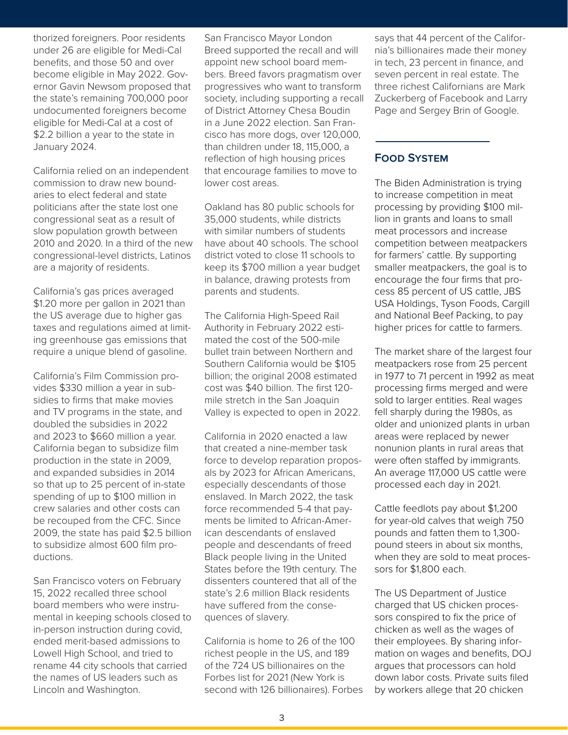thorized foreigners. Poor residents under 26 are eligible for Medi-Cal benefits, and those 50 and over become eligible in May 2022. Governor Gavin Newsom proposed that the state's remaining 700,000 poor undocumented foreigners become eligible for Medi-Cal at a cost of \$2.2 billion a year to the state in January 2024.

California relied on an independent commission to draw new boundaries to elect federal and state politicians after the state lost one congressional seat as a result of slow population growth between 2010 and 2020. In a third of the new congressional-level districts, Latinos are a majority of residents.

California's gas prices averaged \$1.20 more per gallon in 2021 than the US average due to higher gas taxes and regulations aimed at limiting greenhouse gas emissions that require a unique blend of gasoline.

California's Film Commission provides \$330 million a year in subsidies to firms that make movies and TV programs in the state, and doubled the subsidies in 2022 and 2023 to \$660 million a year. California began to subsidize film production in the state in 2009, and expanded subsidies in 2014 so that up to 25 percent of in-state spending of up to \$100 million in crew salaries and other costs can be recouped from the CFC. Since 2009, the state has paid \$2.5 billion to subsidize almost 600 film productions.

San Francisco voters on February 15, 2022 recalled three school board members who were instrumental in keeping schools closed to in-person instruction during covid, ended merit-based admissions to Lowell High School, and tried to rename 44 city schools that carried the names of US leaders such as Lincoln and Washington.

ents San Francisco Mayor London The Says that 44 percent of Medi-Cal Breed supported the recall and will nia's billionaires made their model over appoint new school board mem-<br>A over bers. Breed favors pragmatism over seven percent in real estate. Thosed that progressives who want Breed supported the recall and will appoint new school board members. Breed favors pragmatism over progressives who want to transform society, including supporting a recall of District Attorney Chesa Boudin in a June 2022 election. San Francisco has more dogs, over 120,000, than children under 18, 115,000, a reflection of high housing prices that encourage families to move to lower cost areas.

> Oakland has 80 public schools for 35,000 students, while districts with similar numbers of students have about 40 schools. The school district voted to close 11 schools to keep its \$700 million a year budget in balance, drawing protests from parents and students.

> The California High-Speed Rail Authority in February 2022 estimated the cost of the 500-mile bullet train between Northern and Southern California would be \$105 billion; the original 2008 estimated cost was \$40 billion. The first 120 mile stretch in the San Joaquin Valley is expected to open in 2022.

> California in 2020 enacted a law that created a nine-member task force to develop reparation proposals by 2023 for African Americans, especially descendants of those enslaved. In March 2022, the task force recommended 5-4 that payments be limited to African-American descendants of enslaved people and descendants of freed Black people living in the United States before the 19th century. The dissenters countered that all of the state's 2.6 million Black residents have suffered from the consequences of slavery.

> California is home to 26 of the 100 richest people in the US, and 189 of the 724 US billionaires on the Forbes list for 2021 (New York is second with 126 billionaires). Forbes

says that 44 percent of the California's billionaires made their money in tech, 23 percent in finance, and seven percent in real estate. The three richest Californians are Mark Zuckerberg of Facebook and Larry Page and Sergey Brin of Google.

# **Food System**

The Biden Administration is trying to increase competition in meat processing by providing \$100 million in grants and loans to small meat processors and increase competition between meatpackers for farmers' cattle. By supporting smaller meatpackers, the goal is to encourage the four firms that process 85 percent of US cattle, JBS USA Holdings, Tyson Foods, Cargill and National Beef Packing, to pay higher prices for cattle to farmers.

The market share of the largest four meatpackers rose from 25 percent in 1977 to 71 percent in 1992 as meat processing firms merged and were sold to larger entities. Real wages fell sharply during the 1980s, as older and unionized plants in urban areas were replaced by newer nonunion plants in rural areas that were often staffed by immigrants. An average 117,000 US cattle were processed each day in 2021.

Cattle feedlots pay about \$1,200 for year-old calves that weigh 750 pounds and fatten them to 1,300 pound steers in about six months, when they are sold to meat processors for \$1,800 each.

The US Department of Justice charged that US chicken processors conspired to fix the price of chicken as well as the wages of their employees. By sharing information on wages and benefits, DOJ argues that processors can hold down labor costs. Private suits filed by workers allege that 20 chicken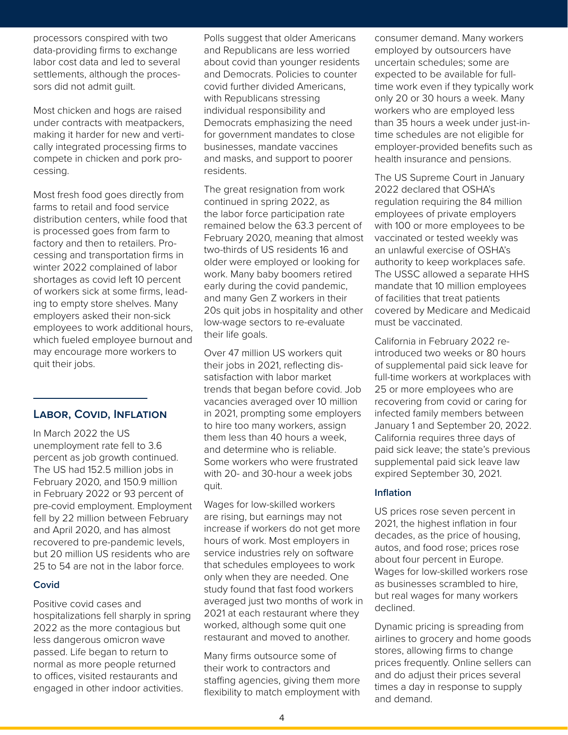processors conspired with two data-providing firms to exchange labor cost data and led to several settlements, although the processors did not admit guilt.

Most chicken and hogs are raised under contracts with meatpackers, making it harder for new and vertically integrated processing firms to compete in chicken and pork processing.

Most fresh food goes directly from farms to retail and food service distribution centers, while food that is processed goes from farm to factory and then to retailers. Processing and transportation firms in winter 2022 complained of labor shortages as covid left 10 percent of workers sick at some firms, leading to empty store shelves. Many employers asked their non-sick employees to work additional hours, which fueled employee burnout and may encourage more workers to quit their jobs.

# **Labor, Covid, Inflation**

In March 2022 the US unemployment rate fell to 3.6 percent as job growth continued. The US had 152.5 million jobs in February 2020, and 150.9 million in February 2022 or 93 percent of pre-covid employment. Employment fell by 22 million between February and April 2020, and has almost recovered to pre-pandemic levels, but 20 million US residents who are 25 to 54 are not in the labor force.

#### **Covid**

Positive covid cases and hospitalizations fell sharply in spring 2022 as the more contagious but less dangerous omicron wave passed. Life began to return to normal as more people returned to offices, visited restaurants and engaged in other indoor activities.

o and Resource Economics<br>Agricultural and Resource Economics Consumer demand. Mai **ARE UPDATE**  and Republicans are less worried about covid than younger residents and Democrats. Policies to counter covid further divided Americans, with Republicans stressing individual responsibility and Democrats emphasizing the need for government mandates to close businesses, mandate vaccines and masks, and support to poorer residents.

> The great resignation from work continued in spring 2022, as the labor force participation rate remained below the 63.3 percent of February 2020, meaning that almost two-thirds of US residents 16 and older were employed or looking for work. Many baby boomers retired early during the covid pandemic, and many Gen Z workers in their 20s quit jobs in hospitality and other low-wage sectors to re-evaluate their life goals.

Over 47 million US workers quit their jobs in 2021, reflecting dissatisfaction with labor market trends that began before covid. Job vacancies averaged over 10 million in 2021, prompting some employers to hire too many workers, assign them less than 40 hours a week, and determine who is reliable. Some workers who were frustrated with 20- and 30-hour a week jobs quit.

Wages for low-skilled workers are rising, but earnings may not increase if workers do not get more hours of work. Most employers in service industries rely on software that schedules employees to work only when they are needed. One study found that fast food workers averaged just two months of work in 2021 at each restaurant where they worked, although some quit one restaurant and moved to another.

Many firms outsource some of their work to contractors and staffing agencies, giving them more flexibility to match employment with

consumer demand. Many workers employed by outsourcers have uncertain schedules; some are expected to be available for fulltime work even if they typically work only 20 or 30 hours a week. Many workers who are employed less than 35 hours a week under just-intime schedules are not eligible for employer-provided benefits such as health insurance and pensions.

The US Supreme Court in January 2022 declared that OSHA's regulation requiring the 84 million employees of private employers with 100 or more employees to be vaccinated or tested weekly was an unlawful exercise of OSHA's authority to keep workplaces safe. The USSC allowed a separate HHS mandate that 10 million employees of facilities that treat patients covered by Medicare and Medicaid must be vaccinated.

California in February 2022 reintroduced two weeks or 80 hours of supplemental paid sick leave for full-time workers at workplaces with 25 or more employees who are recovering from covid or caring for infected family members between January 1 and September 20, 2022. California requires three days of paid sick leave; the state's previous supplemental paid sick leave law expired September 30, 2021.

#### **Inflation**

US prices rose seven percent in 2021, the highest inflation in four decades, as the price of housing, autos, and food rose; prices rose about four percent in Europe. Wages for low-skilled workers rose as businesses scrambled to hire, but real wages for many workers declined.

Dynamic pricing is spreading from airlines to grocery and home goods stores, allowing firms to change prices frequently. Online sellers can and do adjust their prices several times a day in response to supply and demand.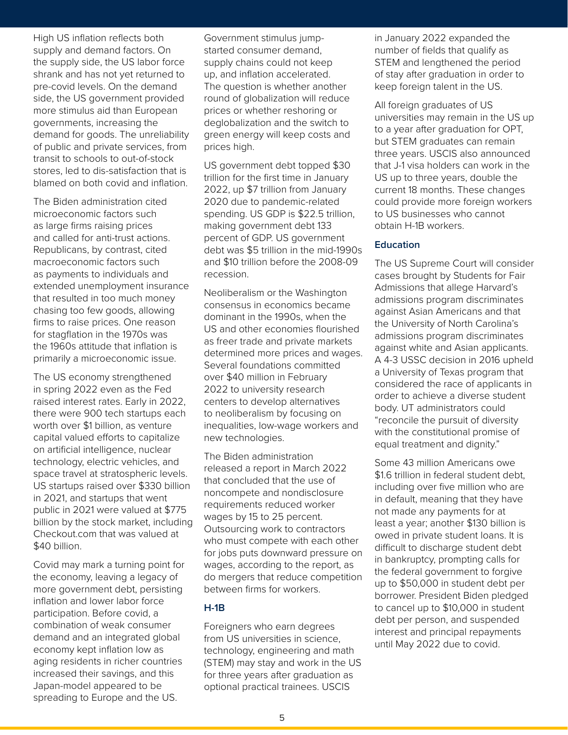High US inflation reflects both supply and demand factors. On the supply side, the US labor force shrank and has not yet returned to pre-covid levels. On the demand side, the US government provided more stimulus aid than European governments, increasing the demand for goods. The unreliability of public and private services, from transit to schools to out-of-stock stores, led to dis-satisfaction that is blamed on both covid and inflation.

The Biden administration cited microeconomic factors such as large firms raising prices and called for anti-trust actions. Republicans, by contrast, cited macroeconomic factors such as payments to individuals and extended unemployment insurance that resulted in too much money chasing too few goods, allowing firms to raise prices. One reason for stagflation in the 1970s was the 1960s attitude that inflation is primarily a microeconomic issue.

The US economy strengthened in spring 2022 even as the Fed raised interest rates. Early in 2022, there were 900 tech startups each worth over \$1 billion, as venture capital valued efforts to capitalize on artificial intelligence, nuclear technology, electric vehicles, and space travel at stratospheric levels. US startups raised over \$330 billion in 2021, and startups that went public in 2021 were valued at \$775 billion by the stock market, including Checkout.com that was valued at \$40 billion.

Covid may mark a turning point for the economy, leaving a legacy of more government debt, persisting inflation and lower labor force participation. Before covid, a combination of weak consumer demand and an integrated global economy kept inflation low as aging residents in richer countries increased their savings, and this Japan-model appeared to be spreading to Europe and the US.

Agricultural and Resource Economics<br>Agricultural and Resource Economics Covernment stimulus jump-<br>Agricultural and Resource Economics Covernment Stimulus jump-**ARE UP:** SIGN STEM and lengthened the per<br>
are to the question is whether another the perpendicular or the question is whether another<br>  $\begin{array}{ll}\n\text{A} & \text{B} & \text{B} \\
\text{B} & \text{C} & \text{C} \\
\text{D} & \text{D} & \text{D} \\
\text{D} & \text{D} & \text{D}\n\end{array$ started consumer demand, supply chains could not keep up, and inflation accelerated. The question is whether another round of globalization will reduce prices or whether reshoring or deglobalization and the switch to green energy will keep costs and prices high.

> US government debt topped \$30 trillion for the first time in January 2022, up \$7 trillion from January 2020 due to pandemic-related spending. US GDP is \$22.5 trillion, making government debt 133 percent of GDP. US government debt was \$5 trillion in the mid-1990s and \$10 trillion before the 2008-09 recession.

> Neoliberalism or the Washington consensus in economics became dominant in the 1990s, when the US and other economies flourished as freer trade and private markets determined more prices and wages. Several foundations committed over \$40 million in February 2022 to university research centers to develop alternatives to neoliberalism by focusing on inequalities, low-wage workers and new technologies.

> The Biden administration released a report in March 2022 that concluded that the use of noncompete and nondisclosure requirements reduced worker wages by 15 to 25 percent. Outsourcing work to contractors who must compete with each other for jobs puts downward pressure on wages, according to the report, as do mergers that reduce competition between firms for workers.

#### **H-1B**

Foreigners who earn degrees from US universities in science, technology, engineering and math (STEM) may stay and work in the US for three years after graduation as optional practical trainees. USCIS

in January 2022 expanded the number of fields that qualify as STEM and lengthened the period of stay after graduation in order to keep foreign talent in the US.

All foreign graduates of US universities may remain in the US up to a year after graduation for OPT, but STEM graduates can remain three years. USCIS also announced that J-1 visa holders can work in the US up to three years, double the current 18 months. These changes could provide more foreign workers to US businesses who cannot obtain H-1B workers.

#### **Education**

The US Supreme Court will consider cases brought by Students for Fair Admissions that allege Harvard's admissions program discriminates against Asian Americans and that the University of North Carolina's admissions program discriminates against white and Asian applicants. A 4-3 USSC decision in 2016 upheld a University of Texas program that considered the race of applicants in order to achieve a diverse student body. UT administrators could "reconcile the pursuit of diversity with the constitutional promise of equal treatment and dignity."

Some 43 million Americans owe \$1.6 trillion in federal student debt, including over five million who are in default, meaning that they have not made any payments for at least a year; another \$130 billion is owed in private student loans. It is difficult to discharge student debt in bankruptcy, prompting calls for the federal government to forgive up to \$50,000 in student debt per borrower. President Biden pledged to cancel up to \$10,000 in student debt per person, and suspended interest and principal repayments until May 2022 due to covid.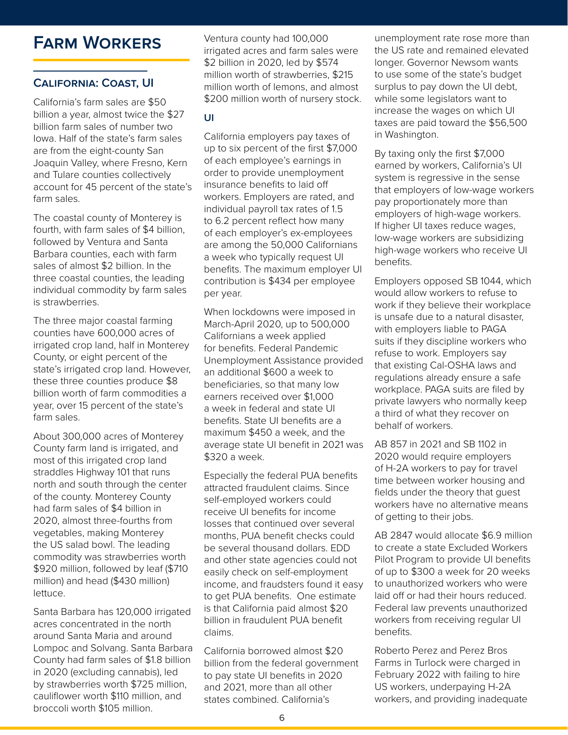# **Farm Workers**

# **California: Coast, UI**

California's farm sales are \$50 billion a year, almost twice the \$27 billion farm sales of number two Iowa. Half of the state's farm sales are from the eight-county San Joaquin Valley, where Fresno, Kern and Tulare counties collectively account for 45 percent of the state's farm sales.

The coastal county of Monterey is fourth, with farm sales of \$4 billion, followed by Ventura and Santa Barbara counties, each with farm sales of almost \$2 billion. In the three coastal counties, the leading individual commodity by farm sales is strawberries.

The three major coastal farming counties have 600,000 acres of irrigated crop land, half in Monterey County, or eight percent of the state's irrigated crop land. However, these three counties produce \$8 billion worth of farm commodities a year, over 15 percent of the state's farm sales.

About 300,000 acres of Monterey County farm land is irrigated, and most of this irrigated crop land straddles Highway 101 that runs north and south through the center of the county. Monterey County had farm sales of \$4 billion in 2020, almost three-fourths from vegetables, making Monterey the US salad bowl. The leading commodity was strawberries worth \$920 million, followed by leaf (\$710 million) and head (\$430 million) lettuce.

Santa Barbara has 120,000 irrigated acres concentrated in the north around Santa Maria and around Lompoc and Solvang. Santa Barbara County had farm sales of \$1.8 billion in 2020 (excluding cannabis), led by strawberries worth \$725 million, cauliflower worth \$110 million, and broccoli worth \$105 million.

ventura county had 100,000 and the memployment rate ros irrigated acres and farm sales were the US rate and remained elev<br>
\$2 billion in 2020, led by \$574 longer. Governor Newsom ware<br>
million worth of strawberries, \$215 to use some of the state's bud<br>
million worth of lemons, irrigated acres and farm sales were \$2 billion in 2020, led by \$574 million worth of strawberries, \$215 million worth of lemons, and almost \$200 million worth of nursery stock.

# **UI**

California employers pay taxes of up to six percent of the first \$7,000 of each employee's earnings in order to provide unemployment insurance benefits to laid off workers. Employers are rated, and individual payroll tax rates of 1.5 to 6.2 percent reflect how many of each employer's ex-employees are among the 50,000 Californians a week who typically request UI benefits. The maximum employer UI contribution is \$434 per employee per year.

When lockdowns were imposed in March-April 2020, up to 500,000 Californians a week applied for benefits. Federal Pandemic Unemployment Assistance provided an additional \$600 a week to beneficiaries, so that many low earners received over \$1,000 a week in federal and state UI benefits. State UI benefits are a maximum \$450 a week, and the average state UI benefit in 2021 was \$320 a week.

Especially the federal PUA benefits attracted fraudulent claims. Since self-employed workers could receive UI benefits for income losses that continued over several months, PUA benefit checks could be several thousand dollars. EDD and other state agencies could not easily check on self-employment income, and fraudsters found it easy to get PUA benefits. One estimate is that California paid almost \$20 billion in fraudulent PUA benefit claims.

California borrowed almost \$20 billion from the federal government to pay state UI benefits in 2020 and 2021, more than all other states combined. California's

unemployment rate rose more than the US rate and remained elevated longer. Governor Newsom wants to use some of the state's budget surplus to pay down the UI debt, while some legislators want to increase the wages on which UI taxes are paid toward the \$56,500 in Washington.

By taxing only the first \$7,000 earned by workers, California's UI system is regressive in the sense that employers of low-wage workers pay proportionately more than employers of high-wage workers. If higher UI taxes reduce wages, low-wage workers are subsidizing high-wage workers who receive UI benefits.

Employers opposed SB 1044, which would allow workers to refuse to work if they believe their workplace is unsafe due to a natural disaster, with employers liable to PAGA suits if they discipline workers who refuse to work. Employers say that existing Cal-OSHA laws and regulations already ensure a safe workplace. PAGA suits are filed by private lawyers who normally keep a third of what they recover on behalf of workers.

AB 857 in 2021 and SB 1102 in 2020 would require employers of H-2A workers to pay for travel time between worker housing and fields under the theory that guest workers have no alternative means of getting to their jobs.

AB 2847 would allocate \$6.9 million to create a state Excluded Workers Pilot Program to provide UI benefits of up to \$300 a week for 20 weeks to unauthorized workers who were laid off or had their hours reduced. Federal law prevents unauthorized workers from receiving regular UI benefits.

Roberto Perez and Perez Bros Farms in Turlock were charged in February 2022 with failing to hire US workers, underpaying H-2A workers, and providing inadequate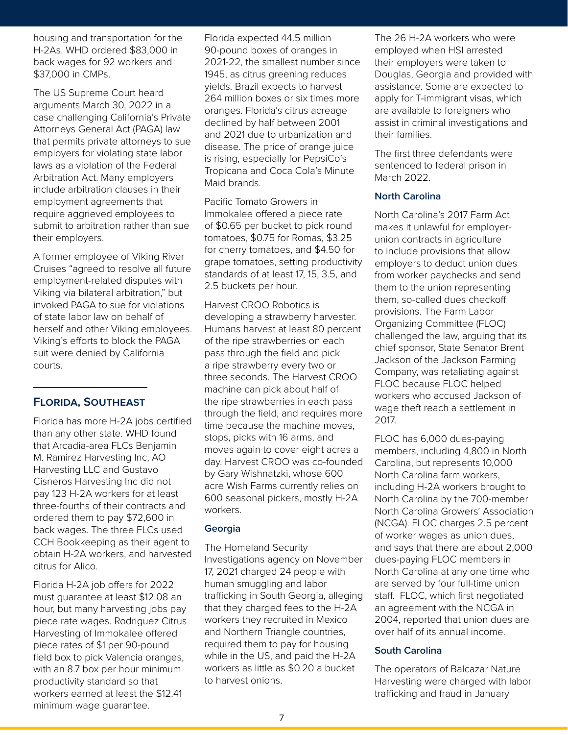housing and transportation for the H-2As. WHD ordered \$83,000 in back wages for 92 workers and \$37,000 in CMPs.

The US Supreme Court heard arguments March 30, 2022 in a case challenging California's Private Attorneys General Act (PAGA) law that permits private attorneys to sue employers for violating state labor laws as a violation of the Federal Arbitration Act. Many employers include arbitration clauses in their employment agreements that require aggrieved employees to submit to arbitration rather than sue their employers.

A former employee of Viking River Cruises "agreed to resolve all future employment-related disputes with Viking via bilateral arbitration," but invoked PAGA to sue for violations of state labor law on behalf of herself and other Viking employees. Viking's efforts to block the PAGA suit were denied by California courts.

# **Florida, Southeast**

Florida has more H-2A jobs certified than any other state. WHD found that Arcadia-area FLCs Benjamin M. Ramirez Harvesting Inc, AO Harvesting LLC and Gustavo Cisneros Harvesting Inc did not pay 123 H-2A workers for at least three-fourths of their contracts and ordered them to pay \$72,600 in back wages. The three FLCs used CCH Bookkeeping as their agent to obtain H-2A workers, and harvested citrus for Alico.

Florida H-2A job offers for 2022 must guarantee at least \$12.08 an hour, but many harvesting jobs pay piece rate wages. Rodriguez Citrus Harvesting of Immokalee offered piece rates of \$1 per 90-pound field box to pick Valencia oranges, with an 8.7 box per hour minimum productivity standard so that workers earned at least the \$12.41 minimum wage guarantee.

resource the the Resource Economics<br>The 26 H-2A workers w OOO in 90-pound boxes of oranges in employed when HSI arrested<br>
s and 2021-22, the smallest number since their employers were taken to<br>
1945, as citrus greening reduces Douglas, Georgia and provide<br>
yields. Brazil expects 90-pound boxes of oranges in 2021-22, the smallest number since 1945, as citrus greening reduces yields. Brazil expects to harvest 264 million boxes or six times more oranges. Florida's citrus acreage declined by half between 2001 and 2021 due to urbanization and disease. The price of orange juice is rising, especially for PepsiCo's Tropicana and Coca Cola's Minute Maid brands.

> Pacific Tomato Growers in Immokalee offered a piece rate of \$0.65 per bucket to pick round tomatoes, \$0.75 for Romas, \$3.25 for cherry tomatoes, and \$4.50 for grape tomatoes, setting productivity standards of at least 17, 15, 3.5, and 2.5 buckets per hour.

> Harvest CROO Robotics is developing a strawberry harvester. Humans harvest at least 80 percent of the ripe strawberries on each pass through the field and pick a ripe strawberry every two or three seconds. The Harvest CROO machine can pick about half of the ripe strawberries in each pass through the field, and requires more time because the machine moves, stops, picks with 16 arms, and moves again to cover eight acres a day. Harvest CROO was co-founded by Gary Wishnatzki, whose 600 acre Wish Farms currently relies on 600 seasonal pickers, mostly H-2A workers.

#### **Georgia**

The Homeland Security Investigations agency on November 17, 2021 charged 24 people with human smuggling and labor trafficking in South Georgia, alleging that they charged fees to the H-2A workers they recruited in Mexico and Northern Triangle countries, required them to pay for housing while in the US, and paid the H-2A workers as little as \$0.20 a bucket to harvest onions.

The 26 H-2A workers who were employed when HSI arrested their employers were taken to Douglas, Georgia and provided with assistance. Some are expected to apply for T-immigrant visas, which are available to foreigners who assist in criminal investigations and their families.

The first three defendants were sentenced to federal prison in March 2022.

# **North Carolina**

North Carolina's 2017 Farm Act makes it unlawful for employerunion contracts in agriculture to include provisions that allow employers to deduct union dues from worker paychecks and send them to the union representing them, so-called dues checkoff provisions. The Farm Labor Organizing Committee (FLOC) challenged the law, arguing that its chief sponsor, State Senator Brent Jackson of the Jackson Farming Company, was retaliating against FLOC because FLOC helped workers who accused Jackson of wage theft reach a settlement in 2017.

FLOC has 6,000 dues-paying members, including 4,800 in North Carolina, but represents 10,000 North Carolina farm workers, including H-2A workers brought to North Carolina by the 700-member North Carolina Growers' Association (NCGA). FLOC charges 2.5 percent of worker wages as union dues, and says that there are about 2,000 dues-paying FLOC members in North Carolina at any one time who are served by four full-time union staff. FLOC, which first negotiated an agreement with the NCGA in 2004, reported that union dues are over half of its annual income.

# **South Carolina**

The operators of Balcazar Nature Harvesting were charged with labor trafficking and fraud in January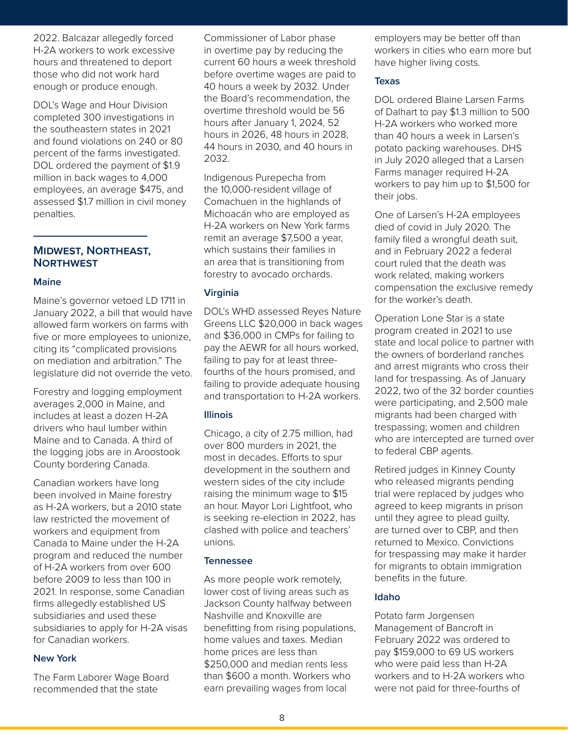2022. Balcazar allegedly forced H-2A workers to work excessive hours and threatened to deport those who did not work hard enough or produce enough.

DOL's Wage and Hour Division completed 300 investigations in the southeastern states in 2021 and found violations on 240 or 80 percent of the farms investigated. DOL ordered the payment of \$1.9 million in back wages to 4,000 employees, an average \$475, and assessed \$1.7 million in civil money penalties.

#### **Midwest, Northeast, Northwest**

#### **Maine**

Maine's governor vetoed LD 1711 in January 2022, a bill that would have allowed farm workers on farms with five or more employees to unionize, citing its "complicated provisions on mediation and arbitration." The legislature did not override the veto.

Forestry and logging employment averages 2,000 in Maine, and includes at least a dozen H-2A drivers who haul lumber within Maine and to Canada. A third of the logging jobs are in Aroostook County bordering Canada.

Canadian workers have long been involved in Maine forestry as H-2A workers, but a 2010 state law restricted the movement of workers and equipment from Canada to Maine under the H-2A program and reduced the number of H-2A workers from over 600 before 2009 to less than 100 in 2021. In response, some Canadian firms allegedly established US subsidiaries and used these subsidiaries to apply for H-2A visas for Canadian workers.

#### **New York**

The Farm Laborer Wage Board recommended that the state

ed Commissioner of Labor phase and Resource Economics entropied and Resource Economics essive in overtime pay by reducing the workers in cities who earn more<br>
eport current 60 hours a week threshold have higher living costs.<br>
ARE UPDATE:<br>
ARE UPDATE:<br>
Texas<br>
the Board's recommendation, the DOI ordered Blaine in overtime pay by reducing the current 60 hours a week threshold before overtime wages are paid to 40 hours a week by 2032. Under the Board's recommendation, the overtime threshold would be 56 hours after January 1, 2024, 52 hours in 2026, 48 hours in 2028, 44 hours in 2030, and 40 hours in 2032.

> Indigenous Purepecha from the 10,000-resident village of Comachuen in the highlands of Michoacán who are employed as H-2A workers on New York farms remit an average \$7,500 a year, which sustains their families in an area that is transitioning from forestry to avocado orchards.

#### **Virginia**

DOL's WHD assessed Reyes Nature Greens LLC \$20,000 in back wages and \$36,000 in CMPs for failing to pay the AEWR for all hours worked, failing to pay for at least threefourths of the hours promised, and failing to provide adequate housing and transportation to H-2A workers.

#### **Illinois**

Chicago, a city of 2.75 million, had over 800 murders in 2021, the most in decades. Efforts to spur development in the southern and western sides of the city include raising the minimum wage to \$15 an hour. Mayor Lori Lightfoot, who is seeking re-election in 2022, has clashed with police and teachers' unions.

#### **Tennessee**

As more people work remotely, lower cost of living areas such as Jackson County halfway between Nashville and Knoxville are benefitting from rising populations, home values and taxes. Median home prices are less than \$250,000 and median rents less than \$600 a month. Workers who earn prevailing wages from local

employers may be better off than workers in cities who earn more but have higher living costs.

#### **Texas**

DOL ordered Blaine Larsen Farms of Dalhart to pay \$1.3 million to 500 H-2A workers who worked more than 40 hours a week in Larsen's potato packing warehouses. DHS in July 2020 alleged that a Larsen Farms manager required H-2A workers to pay him up to \$1,500 for their jobs.

One of Larsen's H-2A employees died of covid in July 2020. The family filed a wrongful death suit, and in February 2022 a federal court ruled that the death was work related, making workers compensation the exclusive remedy for the worker's death.

Operation Lone Star is a state program created in 2021 to use state and local police to partner with the owners of borderland ranches and arrest migrants who cross their land for trespassing. As of January 2022, two of the 32 border counties were participating, and 2,500 male migrants had been charged with trespassing; women and children who are intercepted are turned over to federal CBP agents.

Retired judges in Kinney County who released migrants pending trial were replaced by judges who agreed to keep migrants in prison until they agree to plead guilty, are turned over to CBP, and then returned to Mexico. Convictions for trespassing may make it harder for migrants to obtain immigration benefits in the future.

# **Idaho**

Potato farm Jorgensen Management of Bancroft in February 2022 was ordered to pay \$159,000 to 69 US workers who were paid less than H-2A workers and to H-2A workers who were not paid for three-fourths of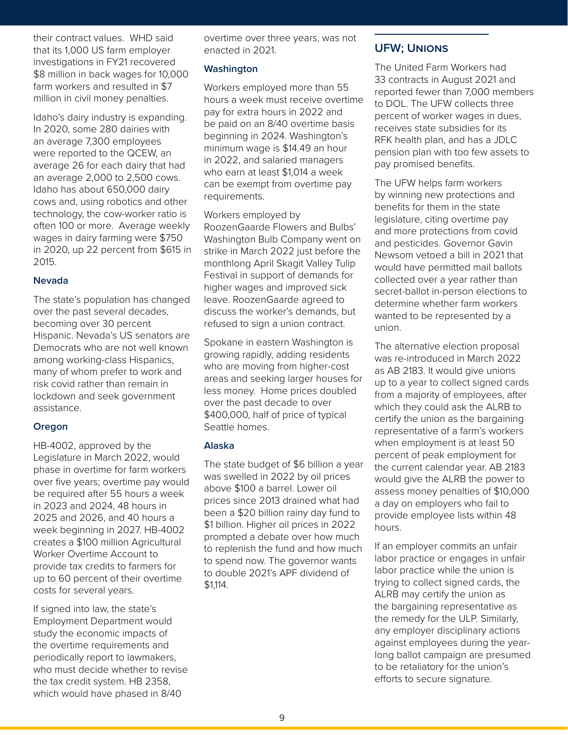their contract values. WHD said that its 1,000 US farm employer investigations in FY21 recovered \$8 million in back wages for 10,000 farm workers and resulted in \$7 million in civil money penalties.

Idaho's dairy industry is expanding. In 2020, some 280 dairies with an average 7,300 employees were reported to the QCEW, an average 26 for each dairy that had an average 2,000 to 2,500 cows. Idaho has about 650,000 dairy cows and, using robotics and other technology, the cow-worker ratio is often 100 or more. Average weekly wages in dairy farming were \$750 in 2020, up 22 percent from \$615 in 2015.

#### **Nevada**

The state's population has changed over the past several decades, becoming over 30 percent Hispanic. Nevada's US senators are Democrats who are not well known among working-class Hispanics, many of whom prefer to work and risk covid rather than remain in lockdown and seek government assistance.

#### **Oregon**

HB-4002, approved by the Legislature in March 2022, would phase in overtime for farm workers over five years; overtime pay would be required after 55 hours a week in 2023 and 2024, 48 hours in 2025 and 2026, and 40 hours a week beginning in 2027. HB-4002 creates a \$100 million Agricultural Worker Overtime Account to provide tax credits to farmers for up to 60 percent of their overtime costs for several years.

If signed into law, the state's Employment Department would study the economic impacts of the overtime requirements and periodically report to lawmakers, who must decide whether to revise the tax credit system. HB 2358, which would have phased in 8/40

and and Agricultural and Resource Economics over three years, was not and all the seconomics over the seconomic enacted in 2021.

#### **Washington**

Workers employed more than 55 hours a week must receive overtime pay for extra hours in 2022 and be paid on an 8/40 overtime basis beginning in 2024. Washington's minimum wage is \$14.49 an hour in 2022, and salaried managers who earn at least \$1,014 a week can be exempt from overtime pay requirements.

Workers employed by RoozenGaarde Flowers and Bulbs' Washington Bulb Company went on strike in March 2022 just before the monthlong April Skagit Valley Tulip Festival in support of demands for higher wages and improved sick leave. RoozenGaarde agreed to discuss the worker's demands, but refused to sign a union contract.

Spokane in eastern Washington is growing rapidly, adding residents who are moving from higher-cost areas and seeking larger houses for less money. Home prices doubled over the past decade to over \$400,000, half of price of typical Seattle homes.

#### **Alaska**

The state budget of \$6 billion a year was swelled in 2022 by oil prices above \$100 a barrel. Lower oil prices since 2013 drained what had been a \$20 billion rainy day fund to \$1 billion. Higher oil prices in 2022 prompted a debate over how much to replenish the fund and how much to spend now. The governor wants to double 2021's APF dividend of \$1,114.

# **UFW; Unions**

loyer enacted in 2021.<br>
Wered **Washington**<br>
in \$7 Workers employed more than 55 and the United Farm Workers had<br>
in \$7 workers employed more than 55 and the proof than 7,000 mellies. The United Farm Workers had 33 contracts in August 2021 and reported fewer than 7,000 members to DOL. The UFW collects three percent of worker wages in dues, receives state subsidies for its RFK health plan, and has a JDLC pension plan with too few assets to pay promised benefits.

> The UFW helps farm workers by winning new protections and benefits for them in the state legislature, citing overtime pay and more protections from covid and pesticides. Governor Gavin Newsom vetoed a bill in 2021 that would have permitted mail ballots collected over a year rather than secret-ballot in-person elections to determine whether farm workers wanted to be represented by a union.

The alternative election proposal was re-introduced in March 2022 as AB 2183. It would give unions up to a year to collect signed cards from a majority of employees, after which they could ask the ALRB to certify the union as the bargaining representative of a farm's workers when employment is at least 50 percent of peak employment for the current calendar year. AB 2183 would give the ALRB the power to assess money penalties of \$10,000 a day on employers who fail to provide employee lists within 48 hours.

If an employer commits an unfair labor practice or engages in unfair labor practice while the union is trying to collect signed cards, the ALRB may certify the union as the bargaining representative as the remedy for the ULP. Similarly, any employer disciplinary actions against employees during the yearlong ballot campaign are presumed to be retaliatory for the union's efforts to secure signature.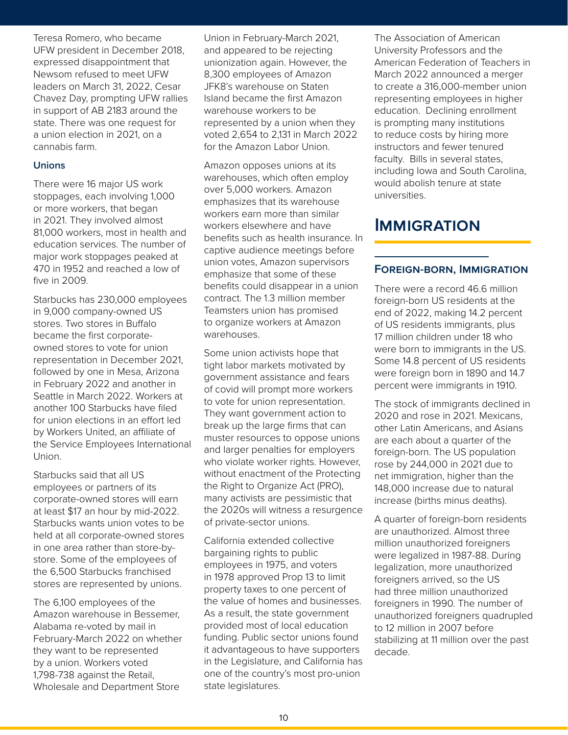Teresa Romero, who became UFW president in December 2018, expressed disappointment that Newsom refused to meet UFW leaders on March 31, 2022, Cesar Chavez Day, prompting UFW rallies in support of AB 2183 around the state. There was one request for a union election in 2021, on a cannabis farm.

### **Unions**

There were 16 major US work stoppages, each involving 1,000 or more workers, that began in 2021. They involved almost 81,000 workers, most in health and education services. The number of major work stoppages peaked at 470 in 1952 and reached a low of five in 2009.

Starbucks has 230,000 employees in 9,000 company-owned US stores. Two stores in Buffalo became the first corporateowned stores to vote for union representation in December 2021, followed by one in Mesa, Arizona in February 2022 and another in Seattle in March 2022. Workers at another 100 Starbucks have filed for union elections in an effort led by Workers United, an affiliate of the Service Employees International Union.

Starbucks said that all US employees or partners of its corporate-owned stores will earn at least \$17 an hour by mid-2022. Starbucks wants union votes to be held at all corporate-owned stores in one area rather than store-bystore. Some of the employees of the 6,500 Starbucks franchised stores are represented by unions.

The 6,100 employees of the Amazon warehouse in Bessemer, Alabama re-voted by mail in February-March 2022 on whether they want to be represented by a union. Workers voted 1,798-738 against the Retail, Wholesale and Department Store

Lagricultural and Resource Economics<br>
Union in February-March 2021, The Association of Ame Formula and appeared to be rejecting that<br>
that unionization again. However, the American Federation of Teach<br>
UFW 8,300 employees of Amazon March 2022 announced a mer<br>
P. Cesar JFK8's warehouse on Staten to create a 316,0 and appeared to be rejecting unionization again. However, the 8,300 employees of Amazon JFK8's warehouse on Staten Island became the first Amazon warehouse workers to be represented by a union when they voted 2,654 to 2,131 in March 2022 for the Amazon Labor Union.

> Amazon opposes unions at its warehouses, which often employ over 5,000 workers. Amazon emphasizes that its warehouse workers earn more than similar workers elsewhere and have benefits such as health insurance. In captive audience meetings before union votes, Amazon supervisors emphasize that some of these benefits could disappear in a union contract. The 1.3 million member Teamsters union has promised to organize workers at Amazon warehouses.

> Some union activists hope that tight labor markets motivated by government assistance and fears of covid will prompt more workers to vote for union representation. They want government action to break up the large firms that can muster resources to oppose unions and larger penalties for employers who violate worker rights. However, without enactment of the Protecting the Right to Organize Act (PRO), many activists are pessimistic that the 2020s will witness a resurgence of private-sector unions.

> California extended collective bargaining rights to public employees in 1975, and voters in 1978 approved Prop 13 to limit property taxes to one percent of the value of homes and businesses. As a result, the state government provided most of local education funding. Public sector unions found it advantageous to have supporters in the Legislature, and California has one of the country's most pro-union state legislatures.

The Association of American University Professors and the American Federation of Teachers in March 2022 announced a merger to create a 316,000-member union representing employees in higher education. Declining enrollment is prompting many institutions to reduce costs by hiring more instructors and fewer tenured faculty. Bills in several states, including Iowa and South Carolina, would abolish tenure at state universities.

# **Immigration**

# **Foreign-born, Immigration**

There were a record 46.6 million foreign-born US residents at the end of 2022, making 14.2 percent of US residents immigrants, plus 17 million children under 18 who were born to immigrants in the US. Some 14.8 percent of US residents were foreign born in 1890 and 14.7 percent were immigrants in 1910.

The stock of immigrants declined in 2020 and rose in 2021. Mexicans, other Latin Americans, and Asians are each about a quarter of the foreign-born. The US population rose by 244,000 in 2021 due to net immigration, higher than the 148,000 increase due to natural increase (births minus deaths).

A quarter of foreign-born residents are unauthorized. Almost three million unauthorized foreigners were legalized in 1987-88. During legalization, more unauthorized foreigners arrived, so the US had three million unauthorized foreigners in 1990. The number of unauthorized foreigners quadrupled to 12 million in 2007 before stabilizing at 11 million over the past decade.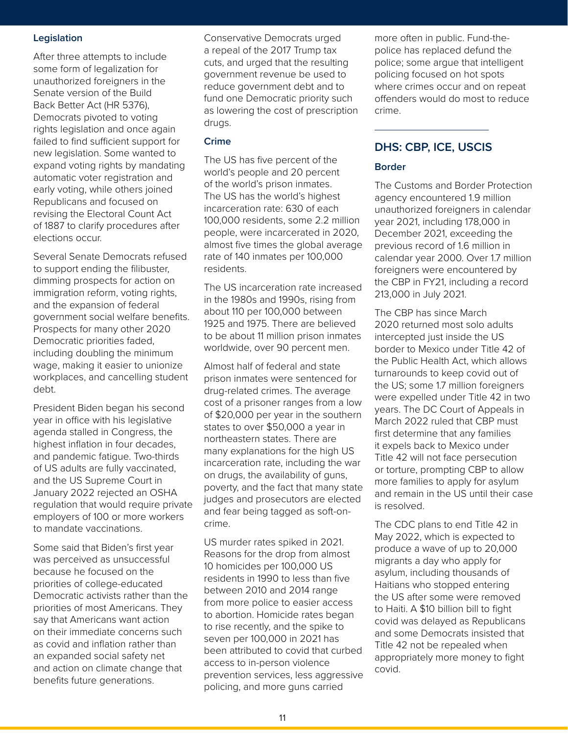#### **Legislation**

After three attempts to include some form of legalization for unauthorized foreigners in the Senate version of the Build Back Better Act (HR 5376), Democrats pivoted to voting rights legislation and once again failed to find sufficient support for new legislation. Some wanted to expand voting rights by mandating automatic voter registration and early voting, while others joined Republicans and focused on revising the Electoral Count Act of 1887 to clarify procedures after elections occur.

Several Senate Democrats refused to support ending the filibuster, dimming prospects for action on immigration reform, voting rights, and the expansion of federal government social welfare benefits. Prospects for many other 2020 Democratic priorities faded, including doubling the minimum wage, making it easier to unionize workplaces, and cancelling student debt.

President Biden began his second year in office with his legislative agenda stalled in Congress, the highest inflation in four decades, and pandemic fatigue. Two-thirds of US adults are fully vaccinated, and the US Supreme Court in January 2022 rejected an OSHA regulation that would require private employers of 100 or more workers to mandate vaccinations.

Some said that Biden's first year was perceived as unsuccessful because he focused on the priorities of college-educated Democratic activists rather than the priorities of most Americans. They say that Americans want action on their immediate concerns such as covid and inflation rather than an expanded social safety net and action on climate change that benefits future generations.

extending and and Resource Tennis<br>
Conservative Democrats urged and anore often in public. Further **ARE UPDATE**  a repeal of the 2017 Trump tax cuts, and urged that the resulting government revenue be used to reduce government debt and to fund one Democratic priority such as lowering the cost of prescription drugs.

#### **Crime**

The US has five percent of the world's people and 20 percent of the world's prison inmates. The US has the world's highest incarceration rate: 630 of each 100,000 residents, some 2.2 million people, were incarcerated in 2020, almost five times the global average rate of 140 inmates per 100,000 residents.

The US incarceration rate increased in the 1980s and 1990s, rising from about 110 per 100,000 between 1925 and 1975. There are believed to be about 11 million prison inmates worldwide, over 90 percent men.

Almost half of federal and state prison inmates were sentenced for drug-related crimes. The average cost of a prisoner ranges from a low of \$20,000 per year in the southern states to over \$50,000 a year in northeastern states. There are many explanations for the high US incarceration rate, including the war on drugs, the availability of guns, poverty, and the fact that many state judges and prosecutors are elected and fear being tagged as soft-oncrime.

US murder rates spiked in 2021. Reasons for the drop from almost 10 homicides per 100,000 US residents in 1990 to less than five between 2010 and 2014 range from more police to easier access to abortion. Homicide rates began to rise recently, and the spike to seven per 100,000 in 2021 has been attributed to covid that curbed access to in-person violence prevention services, less aggressive policing, and more guns carried

more often in public. Fund-thepolice has replaced defund the police; some argue that intelligent policing focused on hot spots where crimes occur and on repeat offenders would do most to reduce crime.

# **DHS: CBP, ICE, USCIS**

#### **Border**

The Customs and Border Protection agency encountered 1.9 million unauthorized foreigners in calendar year 2021, including 178,000 in December 2021, exceeding the previous record of 1.6 million in calendar year 2000. Over 1.7 million foreigners were encountered by the CBP in FY21, including a record 213,000 in July 2021.

The CBP has since March 2020 returned most solo adults intercepted just inside the US border to Mexico under Title 42 of the Public Health Act, which allows turnarounds to keep covid out of the US; some 1.7 million foreigners were expelled under Title 42 in two years. The DC Court of Appeals in March 2022 ruled that CBP must first determine that any families it expels back to Mexico under Title 42 will not face persecution or torture, prompting CBP to allow more families to apply for asylum and remain in the US until their case is resolved.

The CDC plans to end Title 42 in May 2022, which is expected to produce a wave of up to 20,000 migrants a day who apply for asylum, including thousands of Haitians who stopped entering the US after some were removed to Haiti. A \$10 billion bill to fight covid was delayed as Republicans and some Democrats insisted that Title 42 not be repealed when appropriately more money to fight covid.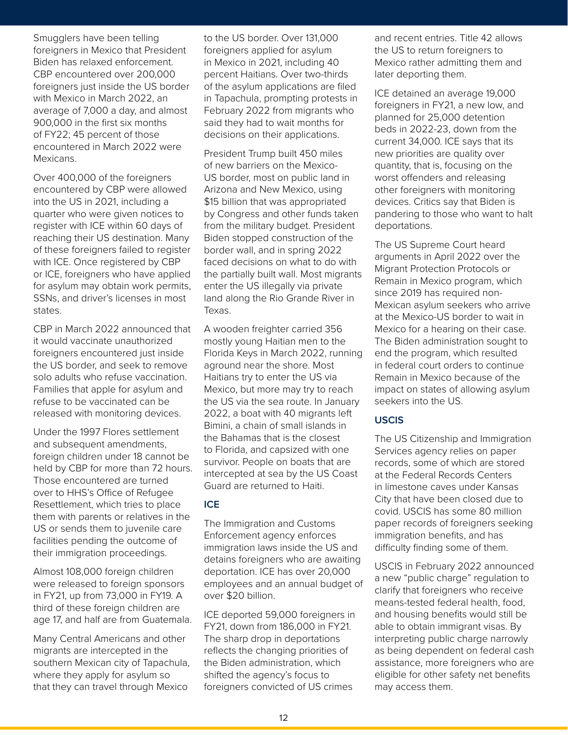Smugglers have been telling foreigners in Mexico that President Biden has relaxed enforcement. CBP encountered over 200,000 foreigners just inside the US border with Mexico in March 2022, an average of 7,000 a day, and almost 900,000 in the first six months of FY22; 45 percent of those encountered in March 2022 were Mexicans.

Over 400,000 of the foreigners encountered by CBP were allowed into the US in 2021, including a quarter who were given notices to register with ICE within 60 days of reaching their US destination. Many of these foreigners failed to register with ICE. Once registered by CBP or ICE, foreigners who have applied for asylum may obtain work permits, SSNs, and driver's licenses in most states.

CBP in March 2022 announced that it would vaccinate unauthorized foreigners encountered just inside the US border, and seek to remove solo adults who refuse vaccination. Families that apple for asylum and refuse to be vaccinated can be released with monitoring devices.

Under the 1997 Flores settlement and subsequent amendments, foreign children under 18 cannot be held by CBP for more than 72 hours. Those encountered are turned over to HHS's Office of Refugee Resettlement, which tries to place them with parents or relatives in the US or sends them to juvenile care facilities pending the outcome of their immigration proceedings.

Almost 108,000 foreign children were released to foreign sponsors in FY21, up from 73,000 in FY19. A third of these foreign children are age 17, and half are from Guatemala.

Many Central Americans and other migrants are intercepted in the southern Mexican city of Tapachula, where they apply for asylum so that they can travel through Mexico

to the US border. Over 131,000 and recent entries. Title President foreigners applied for asylum<br>
in Mexico in 2021, including 40 mexico rather admitting them a<br>
0,000 percent Haitians. Over two-thirds later deporting them.<br>
JS border of the asylum applications are filed<br>
2, an foreigners applied for asylum in Mexico in 2021, including 40 percent Haitians. Over two-thirds of the asylum applications are filed in Tapachula, prompting protests in February 2022 from migrants who said they had to wait months for decisions on their applications.

> President Trump built 450 miles of new barriers on the Mexico-US border, most on public land in Arizona and New Mexico, using \$15 billion that was appropriated by Congress and other funds taken from the military budget. President Biden stopped construction of the border wall, and in spring 2022 faced decisions on what to do with the partially built wall. Most migrants enter the US illegally via private land along the Rio Grande River in Texas.

> A wooden freighter carried 356 mostly young Haitian men to the Florida Keys in March 2022, running aground near the shore. Most Haitians try to enter the US via Mexico, but more may try to reach the US via the sea route. In January 2022, a boat with 40 migrants left Bimini, a chain of small islands in the Bahamas that is the closest to Florida, and capsized with one survivor. People on boats that are intercepted at sea by the US Coast Guard are returned to Haiti.

# **ICE**

The Immigration and Customs Enforcement agency enforces immigration laws inside the US and detains foreigners who are awaiting deportation. ICE has over 20,000 employees and an annual budget of over \$20 billion.

ICE deported 59,000 foreigners in FY21, down from 186,000 in FY21. The sharp drop in deportations reflects the changing priorities of the Biden administration, which shifted the agency's focus to foreigners convicted of US crimes

and recent entries. Title 42 allows the US to return foreigners to Mexico rather admitting them and later deporting them.

ICE detained an average 19,000 foreigners in FY21, a new low, and planned for 25,000 detention beds in 2022-23, down from the current 34,000. ICE says that its new priorities are quality over quantity, that is, focusing on the worst offenders and releasing other foreigners with monitoring devices. Critics say that Biden is pandering to those who want to halt deportations.

The US Supreme Court heard arguments in April 2022 over the Migrant Protection Protocols or Remain in Mexico program, which since 2019 has required non-Mexican asylum seekers who arrive at the Mexico-US border to wait in Mexico for a hearing on their case. The Biden administration sought to end the program, which resulted in federal court orders to continue Remain in Mexico because of the impact on states of allowing asylum seekers into the US.

# **USCIS**

The US Citizenship and Immigration Services agency relies on paper records, some of which are stored at the Federal Records Centers in limestone caves under Kansas City that have been closed due to covid. USCIS has some 80 million paper records of foreigners seeking immigration benefits, and has difficulty finding some of them.

USCIS in February 2022 announced a new "public charge" regulation to clarify that foreigners who receive means-tested federal health, food, and housing benefits would still be able to obtain immigrant visas. By interpreting public charge narrowly as being dependent on federal cash assistance, more foreigners who are eligible for other safety net benefits may access them.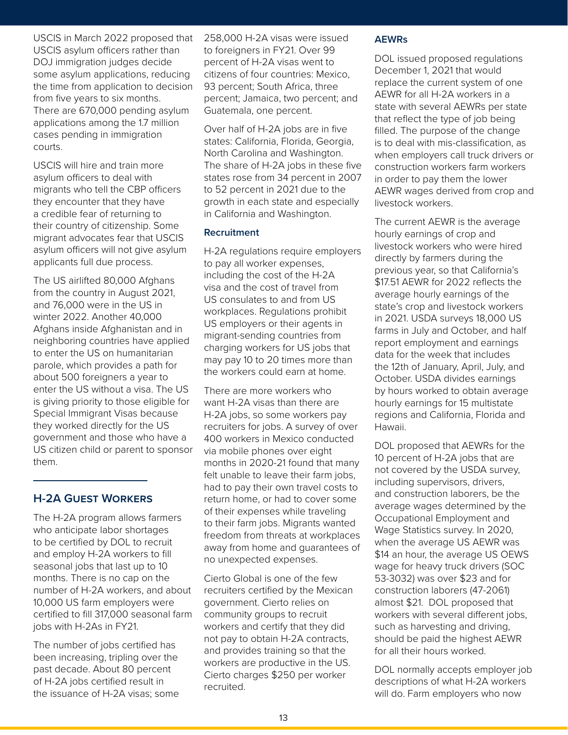USCIS in March 2022 proposed that USCIS asylum officers rather than DOJ immigration judges decide some asylum applications, reducing the time from application to decision from five years to six months. There are 670,000 pending asylum applications among the 1.7 million cases pending in immigration courts.

USCIS will hire and train more asylum officers to deal with migrants who tell the CBP officers they encounter that they have a credible fear of returning to their country of citizenship. Some migrant advocates fear that USCIS asylum officers will not give asylum applicants full due process.

The US airlifted 80,000 Afghans from the country in August 2021, and 76,000 were in the US in winter 2022. Another 40,000 Afghans inside Afghanistan and in neighboring countries have applied to enter the US on humanitarian parole, which provides a path for about 500 foreigners a year to enter the US without a visa. The US is giving priority to those eligible for Special Immigrant Visas because they worked directly for the US government and those who have a US citizen child or parent to sponsor them.

# **H-2A Guest Workers**

The H-2A program allows farmers who anticipate labor shortages to be certified by DOL to recruit and employ H-2A workers to fill seasonal jobs that last up to 10 months. There is no cap on the number of H-2A workers, and about 10,000 US farm employers were certified to fill 317,000 seasonal farm jobs with H-2As in FY21.

The number of jobs certified has been increasing, tripling over the past decade. About 80 percent of H-2A jobs certified result in the issuance of H-2A visas; some

Agricultural and Resource Economics 258,000 H-2A visas were issued er than to foreigners in FY21. Over 99<br>
ecide percent of H-2A visas went to DOL issued proposed regulati<br>
reducing citizens of four countries: Mexico, December 1, 2021 that would<br>
replace the current system of the current to foreigners in FY21. Over 99 percent of H-2A visas went to citizens of four countries: Mexico, 93 percent; South Africa, three percent; Jamaica, two percent; and Guatemala, one percent.

> Over half of H-2A jobs are in five states: California, Florida, Georgia, North Carolina and Washington. The share of H-2A jobs in these five states rose from 34 percent in 2007 to 52 percent in 2021 due to the growth in each state and especially in California and Washington.

#### **Recruitment**

H-2A regulations require employers to pay all worker expenses, including the cost of the H-2A visa and the cost of travel from US consulates to and from US workplaces. Regulations prohibit US employers or their agents in migrant-sending countries from charging workers for US jobs that may pay 10 to 20 times more than the workers could earn at home.

There are more workers who want H-2A visas than there are H-2A jobs, so some workers pay recruiters for jobs. A survey of over 400 workers in Mexico conducted via mobile phones over eight months in 2020-21 found that many felt unable to leave their farm jobs, had to pay their own travel costs to return home, or had to cover some of their expenses while traveling to their farm jobs. Migrants wanted freedom from threats at workplaces away from home and guarantees of no unexpected expenses.

Cierto Global is one of the few recruiters certified by the Mexican government. Cierto relies on community groups to recruit workers and certify that they did not pay to obtain H-2A contracts, and provides training so that the workers are productive in the US. Cierto charges \$250 per worker recruited.

#### **AEWRs**

DOL issued proposed regulations December 1, 2021 that would replace the current system of one AEWR for all H-2A workers in a state with several AEWRs per state that reflect the type of job being filled. The purpose of the change is to deal with mis-classification, as when employers call truck drivers or construction workers farm workers in order to pay them the lower AEWR wages derived from crop and livestock workers.

The current AEWR is the average hourly earnings of crop and livestock workers who were hired directly by farmers during the previous year, so that California's \$17.51 AEWR for 2022 reflects the average hourly earnings of the state's crop and livestock workers in 2021. USDA surveys 18,000 US farms in July and October, and half report employment and earnings data for the week that includes the 12th of January, April, July, and October. USDA divides earnings by hours worked to obtain average hourly earnings for 15 multistate regions and California, Florida and Hawaii.

DOL proposed that AEWRs for the 10 percent of H-2A jobs that are not covered by the USDA survey, including supervisors, drivers, and construction laborers, be the average wages determined by the Occupational Employment and Wage Statistics survey. In 2020, when the average US AEWR was \$14 an hour, the average US OEWS wage for heavy truck drivers (SOC 53-3032) was over \$23 and for construction laborers (47-2061) almost \$21. DOL proposed that workers with several different jobs, such as harvesting and driving, should be paid the highest AEWR for all their hours worked.

DOL normally accepts employer job descriptions of what H-2A workers will do. Farm employers who now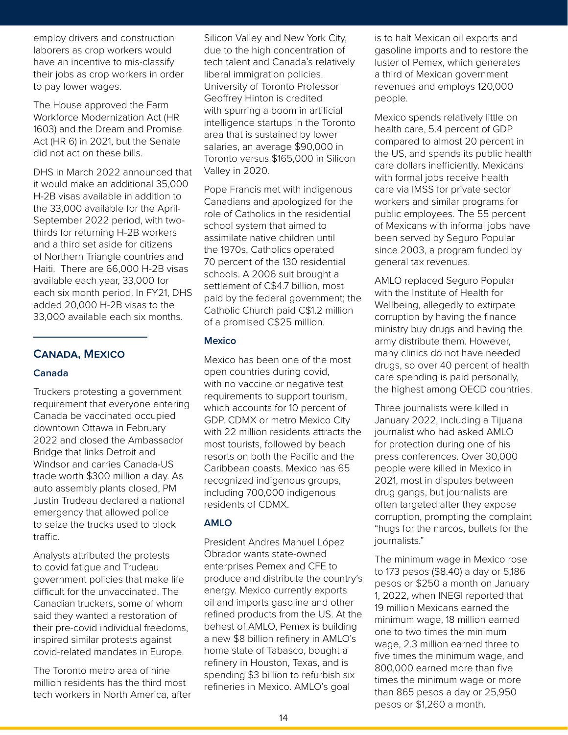employ drivers and construction laborers as crop workers would have an incentive to mis-classify their jobs as crop workers in order to pay lower wages.

The House approved the Farm Workforce Modernization Act (HR 1603) and the Dream and Promise Act (HR 6) in 2021, but the Senate did not act on these bills.

DHS in March 2022 announced that it would make an additional 35,000 H-2B visas available in addition to the 33,000 available for the April-September 2022 period, with twothirds for returning H-2B workers and a third set aside for citizens of Northern Triangle countries and Haiti. There are 66,000 H-2B visas available each year, 33,000 for each six month period. In FY21, DHS added 20,000 H-2B visas to the 33,000 available each six months.

# **Canada, Mexico**

#### **Canada**

Truckers protesting a government requirement that everyone entering Canada be vaccinated occupied downtown Ottawa in February 2022 and closed the Ambassador Bridge that links Detroit and Windsor and carries Canada-US trade worth \$300 million a day. As auto assembly plants closed, PM Justin Trudeau declared a national emergency that allowed police to seize the trucks used to block traffic.

Analysts attributed the protests to covid fatigue and Trudeau government policies that make life difficult for the unvaccinated. The Canadian truckers, some of whom said they wanted a restoration of their pre-covid individual freedoms, inspired similar protests against covid-related mandates in Europe.

The Toronto metro area of nine million residents has the third most tech workers in North America, after

on Silicon Valley and New York City, The Silicon Valley and New York City, The Side of Mexican oil ex Nould due to the high concentration of gasoline imports and to restore<br>
In order liberal immigration policies.<br>
University of Toronto Professor Geoffrey Hinton is credited people. due to the high concentration of tech talent and Canada's relatively liberal immigration policies. University of Toronto Professor Geoffrey Hinton is credited with spurring a boom in artificial intelligence startups in the Toronto area that is sustained by lower salaries, an average \$90,000 in Toronto versus \$165,000 in Silicon Valley in 2020.

> Pope Francis met with indigenous Canadians and apologized for the role of Catholics in the residential school system that aimed to assimilate native children until the 1970s. Catholics operated 70 percent of the 130 residential schools. A 2006 suit brought a settlement of C\$4.7 billion, most paid by the federal government; the Catholic Church paid C\$1.2 million of a promised C\$25 million.

#### **Mexico**

Mexico has been one of the most open countries during covid, with no vaccine or negative test requirements to support tourism, which accounts for 10 percent of GDP. CDMX or metro Mexico City with 22 million residents attracts the most tourists, followed by beach resorts on both the Pacific and the Caribbean coasts. Mexico has 65 recognized indigenous groups, including 700,000 indigenous residents of CDMX.

#### **AMLO**

President Andres Manuel López Obrador wants state-owned enterprises Pemex and CFE to produce and distribute the country's energy. Mexico currently exports oil and imports gasoline and other refined products from the US. At the behest of AMLO, Pemex is building a new \$8 billion refinery in AMLO's home state of Tabasco, bought a refinery in Houston, Texas, and is spending \$3 billion to refurbish six refineries in Mexico. AMLO's goal

is to halt Mexican oil exports and gasoline imports and to restore the luster of Pemex, which generates a third of Mexican government revenues and employs 120,000 people.

Mexico spends relatively little on health care, 5.4 percent of GDP compared to almost 20 percent in the US, and spends its public health care dollars inefficiently. Mexicans with formal jobs receive health care via IMSS for private sector workers and similar programs for public employees. The 55 percent of Mexicans with informal jobs have been served by Seguro Popular since 2003, a program funded by general tax revenues.

AMLO replaced Seguro Popular with the Institute of Health for Wellbeing, allegedly to extirpate corruption by having the finance ministry buy drugs and having the army distribute them. However, many clinics do not have needed drugs, so over 40 percent of health care spending is paid personally, the highest among OECD countries.

Three journalists were killed in January 2022, including a Tijuana journalist who had asked AMLO for protection during one of his press conferences. Over 30,000 people were killed in Mexico in 2021, most in disputes between drug gangs, but journalists are often targeted after they expose corruption, prompting the complaint "hugs for the narcos, bullets for the journalists."

The minimum wage in Mexico rose to 173 pesos (\$8.40) a day or 5,186 pesos or \$250 a month on January 1, 2022, when INEGI reported that 19 million Mexicans earned the minimum wage, 18 million earned one to two times the minimum wage, 2.3 million earned three to five times the minimum wage, and 800,000 earned more than five times the minimum wage or more than 865 pesos a day or 25,950 pesos or \$1,260 a month.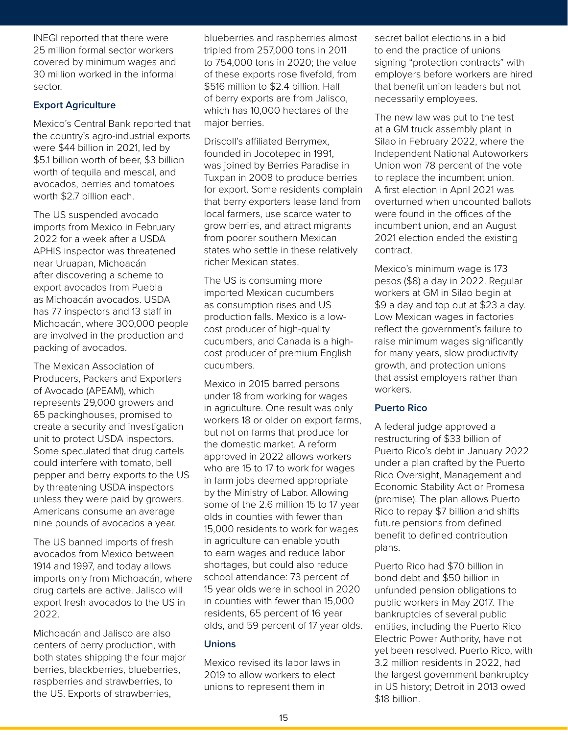INEGI reported that there were 25 million formal sector workers covered by minimum wages and 30 million worked in the informal sector.

# **Export Agriculture**

Mexico's Central Bank reported that the country's agro-industrial exports were \$44 billion in 2021, led by \$5.1 billion worth of beer, \$3 billion worth of tequila and mescal, and avocados, berries and tomatoes worth \$2.7 billion each.

The US suspended avocado imports from Mexico in February 2022 for a week after a USDA APHIS inspector was threatened near Uruapan, Michoacán after discovering a scheme to export avocados from Puebla as Michoacán avocados. USDA has 77 inspectors and 13 staff in Michoacán, where 300,000 people are involved in the production and packing of avocados.

The Mexican Association of Producers, Packers and Exporters of Avocado (APEAM), which represents 29,000 growers and 65 packinghouses, promised to create a security and investigation unit to protect USDA inspectors. Some speculated that drug cartels could interfere with tomato, bell pepper and berry exports to the US by threatening USDA inspectors unless they were paid by growers. Americans consume an average nine pounds of avocados a year.

The US banned imports of fresh avocados from Mexico between 1914 and 1997, and today allows imports only from Michoacán, where drug cartels are active. Jalisco will export fresh avocados to the US in 2022.

Michoacán and Jalisco are also centers of berry production, with both states shipping the four major berries, blackberries, blueberries, raspberries and strawberries, to the US. Exports of strawberries,

e and raspberries almost and secret ballot elections in orkers tripled from 257,000 tons in 2011 to end the practice of unions<br>es and to 754,000 tons in 2020; the value signing "protection contracts"<br>formal of these exports rose fivefold, from employers before workers are<br>\$516 tripled from 257,000 tons in 2011 to 754,000 tons in 2020; the value of these exports rose fivefold, from \$516 million to \$2.4 billion. Half of berry exports are from Jalisco, which has 10,000 hectares of the major berries.

> Driscoll's affiliated Berrymex, founded in Jocotepec in 1991, was joined by Berries Paradise in Tuxpan in 2008 to produce berries for export. Some residents complain that berry exporters lease land from local farmers, use scarce water to grow berries, and attract migrants from poorer southern Mexican states who settle in these relatively richer Mexican states.

The US is consuming more imported Mexican cucumbers as consumption rises and US production falls. Mexico is a lowcost producer of high-quality cucumbers, and Canada is a highcost producer of premium English cucumbers.

Mexico in 2015 barred persons under 18 from working for wages in agriculture. One result was only workers 18 or older on export farms, but not on farms that produce for the domestic market. A reform approved in 2022 allows workers who are 15 to 17 to work for wages in farm jobs deemed appropriate by the Ministry of Labor. Allowing some of the 2.6 million 15 to 17 year olds in counties with fewer than 15,000 residents to work for wages in agriculture can enable youth to earn wages and reduce labor shortages, but could also reduce school attendance: 73 percent of 15 year olds were in school in 2020 in counties with fewer than 15,000 residents, 65 percent of 16 year olds, and 59 percent of 17 year olds.

# **Unions**

Mexico revised its labor laws in 2019 to allow workers to elect unions to represent them in

secret ballot elections in a bid to end the practice of unions signing "protection contracts" with employers before workers are hired that benefit union leaders but not necessarily employees.

The new law was put to the test at a GM truck assembly plant in Silao in February 2022, where the Independent National Autoworkers Union won 78 percent of the vote to replace the incumbent union. A first election in April 2021 was overturned when uncounted ballots were found in the offices of the incumbent union, and an August 2021 election ended the existing contract.

Mexico's minimum wage is 173 pesos (\$8) a day in 2022. Regular workers at GM in Silao begin at \$9 a day and top out at \$23 a day. Low Mexican wages in factories reflect the government's failure to raise minimum wages significantly for many years, slow productivity growth, and protection unions that assist employers rather than workers.

# **Puerto Rico**

A federal judge approved a restructuring of \$33 billion of Puerto Rico's debt in January 2022 under a plan crafted by the Puerto Rico Oversight, Management and Economic Stability Act or Promesa (promise). The plan allows Puerto Rico to repay \$7 billion and shifts future pensions from defined benefit to defined contribution plans.

Puerto Rico had \$70 billion in bond debt and \$50 billion in unfunded pension obligations to public workers in May 2017. The bankruptcies of several public entities, including the Puerto Rico Electric Power Authority, have not yet been resolved. Puerto Rico, with 3.2 million residents in 2022, had the largest government bankruptcy in US history; Detroit in 2013 owed \$18 billion.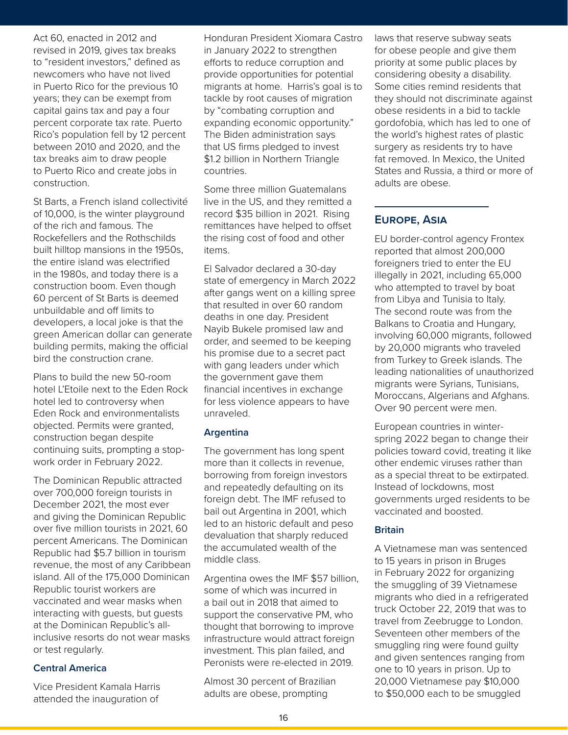Act 60, enacted in 2012 and revised in 2019, gives tax breaks to "resident investors," defined as newcomers who have not lived in Puerto Rico for the previous 10 years; they can be exempt from capital gains tax and pay a four percent corporate tax rate. Puerto Rico's population fell by 12 percent between 2010 and 2020, and the tax breaks aim to draw people to Puerto Rico and create jobs in construction.

St Barts, a French island collectivité of 10,000, is the winter playground of the rich and famous. The Rockefellers and the Rothschilds built hilltop mansions in the 1950s, the entire island was electrified in the 1980s, and today there is a construction boom. Even though 60 percent of St Barts is deemed unbuildable and off limits to developers, a local joke is that the green American dollar can generate building permits, making the official bird the construction crane.

Plans to build the new 50-room hotel L'Etoile next to the Eden Rock hotel led to controversy when Eden Rock and environmentalists objected. Permits were granted, construction began despite continuing suits, prompting a stopwork order in February 2022.

The Dominican Republic attracted over 700,000 foreign tourists in December 2021, the most ever and giving the Dominican Republic over five million tourists in 2021, 60 percent Americans. The Dominican Republic had \$5.7 billion in tourism revenue, the most of any Caribbean island. All of the 175,000 Dominican Republic tourist workers are vaccinated and wear masks when interacting with guests, but guests at the Dominican Republic's allinclusive resorts do not wear masks or test regularly.

#### **Central America**

Vice President Kamala Harris attended the inauguration of

Honduran President Xiomara Castro laws that reserve subwa breaks in January 2022 to strengthen for obese people and give the<br>
ined as efforts to reduce corruption and priority at some public places l<br>
lived provide opportunities for potential considering obesity a disability<br>
iou in January 2022 to strengthen efforts to reduce corruption and provide opportunities for potential migrants at home. Harris's goal is to tackle by root causes of migration by "combating corruption and expanding economic opportunity." The Biden administration says that US firms pledged to invest \$1.2 billion in Northern Triangle countries.

> Some three million Guatemalans live in the US, and they remitted a record \$35 billion in 2021. Rising remittances have helped to offset the rising cost of food and other items.

El Salvador declared a 30-day state of emergency in March 2022 after gangs went on a killing spree that resulted in over 60 random deaths in one day. President Nayib Bukele promised law and order, and seemed to be keeping his promise due to a secret pact with gang leaders under which the government gave them financial incentives in exchange for less violence appears to have unraveled.

# **Argentina**

The government has long spent more than it collects in revenue, borrowing from foreign investors and repeatedly defaulting on its foreign debt. The IMF refused to bail out Argentina in 2001, which led to an historic default and peso devaluation that sharply reduced the accumulated wealth of the middle class.

Argentina owes the IMF \$57 billion, some of which was incurred in a bail out in 2018 that aimed to support the conservative PM, who thought that borrowing to improve infrastructure would attract foreign investment. This plan failed, and Peronists were re-elected in 2019.

Almost 30 percent of Brazilian adults are obese, prompting

laws that reserve subway seats for obese people and give them priority at some public places by considering obesity a disability. Some cities remind residents that they should not discriminate against obese residents in a bid to tackle gordofobia, which has led to one of the world's highest rates of plastic surgery as residents try to have fat removed. In Mexico, the United States and Russia, a third or more of adults are obese.

# **Europe, Asia**

EU border-control agency Frontex reported that almost 200,000 foreigners tried to enter the EU illegally in 2021, including 65,000 who attempted to travel by boat from Libya and Tunisia to Italy. The second route was from the Balkans to Croatia and Hungary, involving 60,000 migrants, followed by 20,000 migrants who traveled from Turkey to Greek islands. The leading nationalities of unauthorized migrants were Syrians, Tunisians, Moroccans, Algerians and Afghans. Over 90 percent were men.

European countries in winterspring 2022 began to change their policies toward covid, treating it like other endemic viruses rather than as a special threat to be extirpated. Instead of lockdowns, most governments urged residents to be vaccinated and boosted.

# **Britain**

A Vietnamese man was sentenced to 15 years in prison in Bruges in February 2022 for organizing the smuggling of 39 Vietnamese migrants who died in a refrigerated truck October 22, 2019 that was to travel from Zeebrugge to London. Seventeen other members of the smuggling ring were found guilty and given sentences ranging from one to 10 years in prison. Up to 20,000 Vietnamese pay \$10,000 to \$50,000 each to be smuggled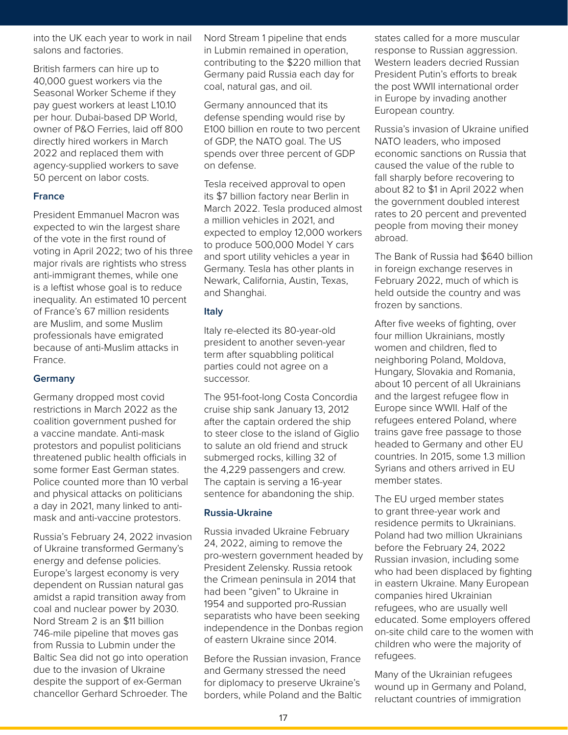into the UK each year to work in nail salons and factories.

British farmers can hire up to 40,000 guest workers via the Seasonal Worker Scheme if they pay guest workers at least L10.10 per hour. Dubai-based DP World, owner of P&O Ferries, laid off 800 directly hired workers in March 2022 and replaced them with agency-supplied workers to save 50 percent on labor costs.

# **France**

President Emmanuel Macron was expected to win the largest share of the vote in the first round of voting in April 2022; two of his three major rivals are rightists who stress anti-immigrant themes, while one is a leftist whose goal is to reduce inequality. An estimated 10 percent of France's 67 million residents are Muslim, and some Muslim professionals have emigrated because of anti-Muslim attacks in France.

#### **Germany**

Germany dropped most covid restrictions in March 2022 as the coalition government pushed for a vaccine mandate. Anti-mask protestors and populist politicians threatened public health officials in some former East German states. Police counted more than 10 verbal and physical attacks on politicians a day in 2021, many linked to antimask and anti-vaccine protestors.

Russia's February 24, 2022 invasion of Ukraine transformed Germany's energy and defense policies. Europe's largest economy is very dependent on Russian natural gas amidst a rapid transition away from coal and nuclear power by 2030. Nord Stream 2 is an \$11 billion 746-mile pipeline that moves gas from Russia to Lubmin under the Baltic Sea did not go into operation due to the invasion of Ukraine despite the support of ex-German chancellor Gerhard Schroeder. The

in nail Nord Stream 1 pipeline that ends states called for a more in Lubmin remained in operation, response to Russian aggressic<br>contributing to the \$220 million that Western leaders decried Russia<br>the Germany paid Russia each day for President Putin's efforts to bree<br>if they coal, natur in Lubmin remained in operation, contributing to the \$220 million that Germany paid Russia each day for coal, natural gas, and oil.

Germany announced that its defense spending would rise by E100 billion en route to two percent of GDP, the NATO goal. The US spends over three percent of GDP on defense.

Tesla received approval to open its \$7 billion factory near Berlin in March 2022. Tesla produced almost a million vehicles in 2021, and expected to employ 12,000 workers to produce 500,000 Model Y cars and sport utility vehicles a year in Germany. Tesla has other plants in Newark, California, Austin, Texas, and Shanghai.

#### **Italy**

Italy re-elected its 80-year-old president to another seven-year term after squabbling political parties could not agree on a successor.

The 951-foot-long Costa Concordia cruise ship sank January 13, 2012 after the captain ordered the ship to steer close to the island of Giglio to salute an old friend and struck submerged rocks, killing 32 of the 4,229 passengers and crew. The captain is serving a 16-year sentence for abandoning the ship.

# **Russia-Ukraine**

Russia invaded Ukraine February 24, 2022, aiming to remove the pro-western government headed by President Zelensky. Russia retook the Crimean peninsula in 2014 that had been "given" to Ukraine in 1954 and supported pro-Russian separatists who have been seeking independence in the Donbas region of eastern Ukraine since 2014.

Before the Russian invasion, France and Germany stressed the need for diplomacy to preserve Ukraine's borders, while Poland and the Baltic states called for a more muscular response to Russian aggression. Western leaders decried Russian President Putin's efforts to break the post WWII international order in Europe by invading another European country.

Russia's invasion of Ukraine unified NATO leaders, who imposed economic sanctions on Russia that caused the value of the ruble to fall sharply before recovering to about 82 to \$1 in April 2022 when the government doubled interest rates to 20 percent and prevented people from moving their money abroad.

The Bank of Russia had \$640 billion in foreign exchange reserves in February 2022, much of which is held outside the country and was frozen by sanctions.

After five weeks of fighting, over four million Ukrainians, mostly women and children, fled to neighboring Poland, Moldova, Hungary, Slovakia and Romania, about 10 percent of all Ukrainians and the largest refugee flow in Europe since WWII. Half of the refugees entered Poland, where trains gave free passage to those headed to Germany and other EU countries. In 2015, some 1.3 million Syrians and others arrived in EU member states.

The EU urged member states to grant three-year work and residence permits to Ukrainians. Poland had two million Ukrainians before the February 24, 2022 Russian invasion, including some who had been displaced by fighting in eastern Ukraine. Many European companies hired Ukrainian refugees, who are usually well educated. Some employers offered on-site child care to the women with children who were the majority of refugees.

Many of the Ukrainian refugees wound up in Germany and Poland, reluctant countries of immigration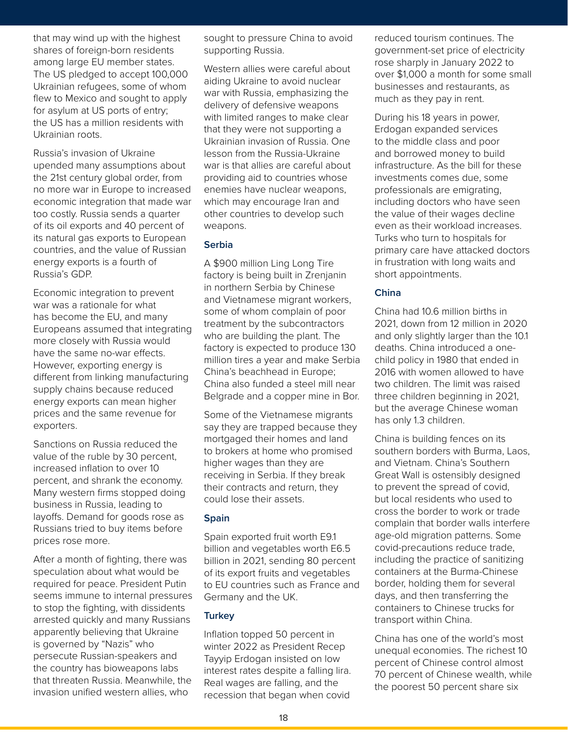that may wind up with the highest shares of foreign-born residents among large EU member states. The US pledged to accept 100,000 Ukrainian refugees, some of whom flew to Mexico and sought to apply for asylum at US ports of entry; the US has a million residents with Ukrainian roots.

Russia's invasion of Ukraine upended many assumptions about the 21st century global order, from no more war in Europe to increased economic integration that made war too costly. Russia sends a quarter of its oil exports and 40 percent of its natural gas exports to European countries, and the value of Russian energy exports is a fourth of Russia's GDP.

Economic integration to prevent war was a rationale for what has become the EU, and many Europeans assumed that integrating more closely with Russia would have the same no-war effects. However, exporting energy is different from linking manufacturing supply chains because reduced energy exports can mean higher prices and the same revenue for exporters.

Sanctions on Russia reduced the value of the ruble by 30 percent, increased inflation to over 10 percent, and shrank the economy. Many western firms stopped doing business in Russia, leading to layoffs. Demand for goods rose as Russians tried to buy items before prices rose more.

After a month of fighting, there was speculation about what would be required for peace. President Putin seems immune to internal pressures to stop the fighting, with dissidents arrested quickly and many Russians apparently believing that Ukraine is governed by "Nazis" who persecute Russian-speakers and the country has bioweapons labs that threaten Russia. Meanwhile, the invasion unified western allies, who

nest and and resoure China to avoid and reduced tourism continents that is a sought to pressure China to avoid supporting Russia.

> Western allies were careful about aiding Ukraine to avoid nuclear war with Russia, emphasizing the delivery of defensive weapons with limited ranges to make clear that they were not supporting a Ukrainian invasion of Russia. One lesson from the Russia-Ukraine war is that allies are careful about providing aid to countries whose enemies have nuclear weapons, which may encourage Iran and other countries to develop such weapons.

#### **Serbia**

A \$900 million Ling Long Tire factory is being built in Zrenjanin in northern Serbia by Chinese and Vietnamese migrant workers, some of whom complain of poor treatment by the subcontractors who are building the plant. The factory is expected to produce 130 million tires a year and make Serbia China's beachhead in Europe; China also funded a steel mill near Belgrade and a copper mine in Bor.

Some of the Vietnamese migrants say they are trapped because they mortgaged their homes and land to brokers at home who promised higher wages than they are receiving in Serbia. If they break their contracts and return, they could lose their assets.

# **Spain**

Spain exported fruit worth E9.1 billion and vegetables worth E6.5 billion in 2021, sending 80 percent of its export fruits and vegetables to EU countries such as France and Germany and the UK.

# **Turkey**

Inflation topped 50 percent in winter 2022 as President Recep Tayyip Erdogan insisted on low interest rates despite a falling lira. Real wages are falling, and the recession that began when covid

idents supporting Russia. government-set price of electr<br>
states. Western allies were careful about<br>
aiding Ukraine to avoid nuclear<br>
of whom aiding Ukraine to avoid nuclear<br>
to apply war with Russia, emphasizing the to av reduced tourism continues. The government-set price of electricity rose sharply in January 2022 to over \$1,000 a month for some small businesses and restaurants, as much as they pay in rent.

> During his 18 years in power, Erdogan expanded services to the middle class and poor and borrowed money to build infrastructure. As the bill for these investments comes due, some professionals are emigrating, including doctors who have seen the value of their wages decline even as their workload increases. Turks who turn to hospitals for primary care have attacked doctors in frustration with long waits and short appointments.

# **China**

China had 10.6 million births in 2021, down from 12 million in 2020 and only slightly larger than the 10.1 deaths. China introduced a onechild policy in 1980 that ended in 2016 with women allowed to have two children. The limit was raised three children beginning in 2021, but the average Chinese woman has only 1.3 children.

China is building fences on its southern borders with Burma, Laos, and Vietnam. China's Southern Great Wall is ostensibly designed to prevent the spread of covid, but local residents who used to cross the border to work or trade complain that border walls interfere age-old migration patterns. Some covid-precautions reduce trade, including the practice of sanitizing containers at the Burma-Chinese border, holding them for several days, and then transferring the containers to Chinese trucks for transport within China.

China has one of the world's most unequal economies. The richest 10 percent of Chinese control almost 70 percent of Chinese wealth, while the poorest 50 percent share six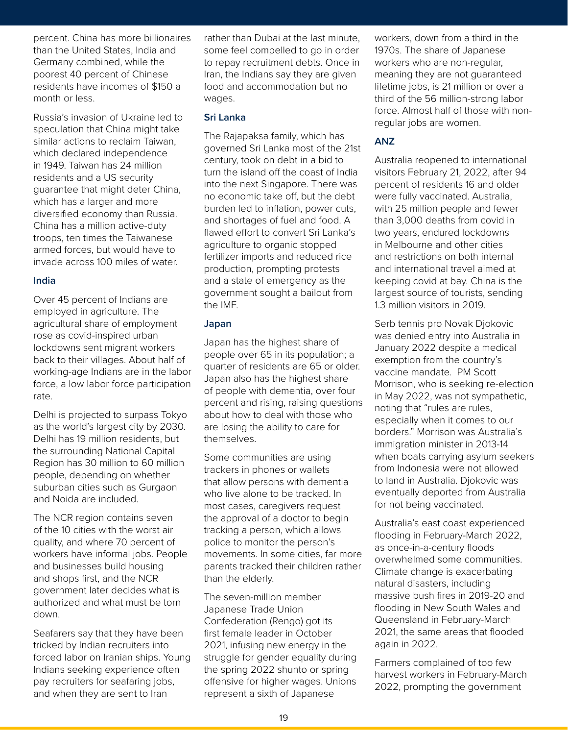percent. China has more billionaires than the United States, India and Germany combined, while the poorest 40 percent of Chinese residents have incomes of \$150 a month or less.

Russia's invasion of Ukraine led to speculation that China might take similar actions to reclaim Taiwan, which declared independence in 1949. Taiwan has 24 million residents and a US security guarantee that might deter China, which has a larger and more diversified economy than Russia. China has a million active-duty troops, ten times the Taiwanese armed forces, but would have to invade across 100 miles of water.

#### **India**

Over 45 percent of Indians are employed in agriculture. The agricultural share of employment rose as covid-inspired urban lockdowns sent migrant workers back to their villages. About half of working-age Indians are in the labor force, a low labor force participation rate.

Delhi is projected to surpass Tokyo as the world's largest city by 2030. Delhi has 19 million residents, but the surrounding National Capital Region has 30 million to 60 million people, depending on whether suburban cities such as Gurgaon and Noida are included.

The NCR region contains seven of the 10 cities with the worst air quality, and where 70 percent of workers have informal jobs. People and businesses build housing and shops first, and the NCR government later decides what is authorized and what must be torn down.

Seafarers say that they have been tricked by Indian recruiters into forced labor on Iranian ships. Young Indians seeking experience often pay recruiters for seafaring jobs, and when they are sent to Iran

naires rather than Dubai at the last minute, vorkers, down from a th Value and some feel compelled to go in order 1970s. The share of Japanese<br>the to repay recruitment debts. Once in workers who are non-regular,<br>rese Iran, the Indians say they are given meaning they are not guarante<br>f \$150 some feel compelled to go in order to repay recruitment debts. Once in Iran, the Indians say they are given food and accommodation but no wages.

### **Sri Lanka**

The Rajapaksa family, which has governed Sri Lanka most of the 21st century, took on debt in a bid to turn the island off the coast of India into the next Singapore. There was no economic take off, but the debt burden led to inflation, power cuts, and shortages of fuel and food. A flawed effort to convert Sri Lanka's agriculture to organic stopped fertilizer imports and reduced rice production, prompting protests and a state of emergency as the government sought a bailout from the IMF.

#### **Japan**

Japan has the highest share of people over 65 in its population; a quarter of residents are 65 or older. Japan also has the highest share of people with dementia, over four percent and rising, raising questions about how to deal with those who are losing the ability to care for themselves.

Some communities are using trackers in phones or wallets that allow persons with dementia who live alone to be tracked. In most cases, caregivers request the approval of a doctor to begin tracking a person, which allows police to monitor the person's movements. In some cities, far more parents tracked their children rather than the elderly.

The seven-million member Japanese Trade Union Confederation (Rengo) got its first female leader in October 2021, infusing new energy in the struggle for gender equality during the spring 2022 shunto or spring offensive for higher wages. Unions represent a sixth of Japanese

workers, down from a third in the 1970s. The share of Japanese workers who are non-regular, meaning they are not guaranteed lifetime jobs, is 21 million or over a third of the 56 million-strong labor force. Almost half of those with nonregular jobs are women.

# **ANZ**

Australia reopened to international visitors February 21, 2022, after 94 percent of residents 16 and older were fully vaccinated. Australia, with 25 million people and fewer than 3,000 deaths from covid in two years, endured lockdowns in Melbourne and other cities and restrictions on both internal and international travel aimed at keeping covid at bay. China is the largest source of tourists, sending 1.3 million visitors in 2019.

Serb tennis pro Novak Djokovic was denied entry into Australia in January 2022 despite a medical exemption from the country's vaccine mandate. PM Scott Morrison, who is seeking re-election in May 2022, was not sympathetic, noting that "rules are rules, especially when it comes to our borders." Morrison was Australia's immigration minister in 2013-14 when boats carrying asylum seekers from Indonesia were not allowed to land in Australia. Djokovic was eventually deported from Australia for not being vaccinated.

Australia's east coast experienced flooding in February-March 2022, as once-in-a-century floods overwhelmed some communities. Climate change is exacerbating natural disasters, including massive bush fires in 2019-20 and flooding in New South Wales and Queensland in February-March 2021, the same areas that flooded again in 2022.

Farmers complained of too few harvest workers in February-March 2022, prompting the government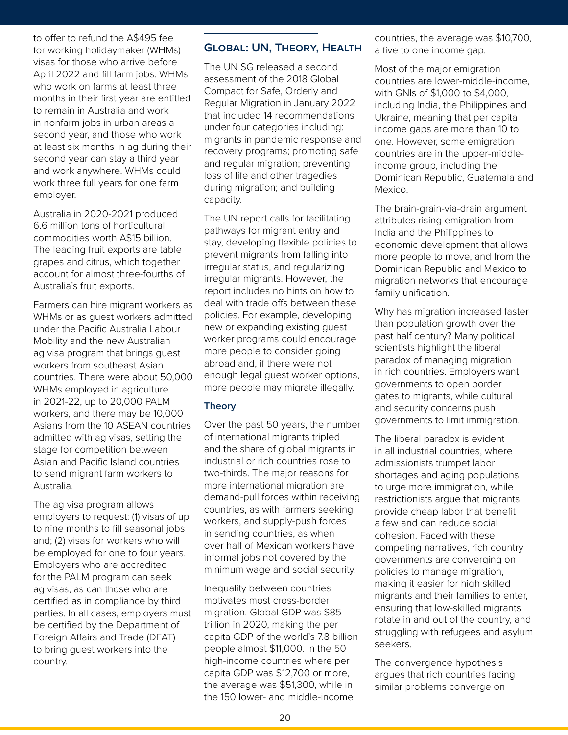to offer to refund the A\$495 fee for working holidaymaker (WHMs) visas for those who arrive before April 2022 and fill farm jobs. WHMs who work on farms at least three months in their first year are entitled to remain in Australia and work in nonfarm jobs in urban areas a second year, and those who work at least six months in ag during their second year can stay a third year and work anywhere. WHMs could work three full years for one farm employer.

Australia in 2020-2021 produced 6.6 million tons of horticultural commodities worth A\$15 billion. The leading fruit exports are table grapes and citrus, which together account for almost three-fourths of Australia's fruit exports.

Farmers can hire migrant workers as WHMs or as guest workers admitted under the Pacific Australia Labour Mobility and the new Australian ag visa program that brings guest workers from southeast Asian countries. There were about 50,000 WHMs employed in agriculture in 2021-22, up to 20,000 PALM workers, and there may be 10,000 Asians from the 10 ASEAN countries admitted with ag visas, setting the stage for competition between Asian and Pacific Island countries to send migrant farm workers to Australia.

The ag visa program allows employers to request: (1) visas of up to nine months to fill seasonal jobs and; (2) visas for workers who will be employed for one to four years. Employers who are accredited for the PALM program can seek ag visas, as can those who are certified as in compliance by third parties. In all cases, employers must be certified by the Department of Foreign Affairs and Trade (DFAT) to bring guest workers into the country.

# **Global: UN, Theory, Health**

WHMs) **GLOBAL: UN, THEORY, HEALTH** a five to one income gap.<br>before The UN SG released a second Most of the major emigration<br>s. WHMs assessment of the 2018 Global three Compact for Safe, Orderly and<br>re entitled Decular Mig The UN SG released a second assessment of the 2018 Global Compact for Safe, Orderly and Regular Migration in January 2022 that included 14 recommendations under four categories including: migrants in pandemic response and recovery programs; promoting safe and regular migration; preventing loss of life and other tragedies during migration; and building capacity.

> The UN report calls for facilitating pathways for migrant entry and stay, developing flexible policies to prevent migrants from falling into irregular status, and regularizing irregular migrants. However, the report includes no hints on how to deal with trade offs between these policies. For example, developing new or expanding existing guest worker programs could encourage more people to consider going abroad and, if there were not enough legal guest worker options, more people may migrate illegally.

#### **Theory**

Over the past 50 years, the number of international migrants tripled and the share of global migrants in industrial or rich countries rose to two-thirds. The major reasons for more international migration are demand-pull forces within receiving countries, as with farmers seeking workers, and supply-push forces in sending countries, as when over half of Mexican workers have informal jobs not covered by the minimum wage and social security.

Inequality between countries motivates most cross-border migration. Global GDP was \$85 trillion in 2020, making the per capita GDP of the world's 7.8 billion people almost \$11,000. In the 50 high-income countries where per capita GDP was \$12,700 or more, the average was \$51,300, while in the 150 lower- and middle-income

ee and Resource Economics and Resource Economics, the average was \$10,700, a five to one income gap.

> Most of the major emigration countries are lower-middle-income, with GNIs of \$1,000 to \$4,000, including India, the Philippines and Ukraine, meaning that per capita income gaps are more than 10 to one. However, some emigration countries are in the upper-middleincome group, including the Dominican Republic, Guatemala and Mexico.

The brain-grain-via-drain argument attributes rising emigration from India and the Philippines to economic development that allows more people to move, and from the Dominican Republic and Mexico to migration networks that encourage family unification.

Why has migration increased faster than population growth over the past half century? Many political scientists highlight the liberal paradox of managing migration in rich countries. Employers want governments to open border gates to migrants, while cultural and security concerns push governments to limit immigration.

The liberal paradox is evident in all industrial countries, where admissionists trumpet labor shortages and aging populations to urge more immigration, while restrictionists argue that migrants provide cheap labor that benefit a few and can reduce social cohesion. Faced with these competing narratives, rich country governments are converging on policies to manage migration, making it easier for high skilled migrants and their families to enter, ensuring that low-skilled migrants rotate in and out of the country, and struggling with refugees and asylum seekers.

The convergence hypothesis argues that rich countries facing similar problems converge on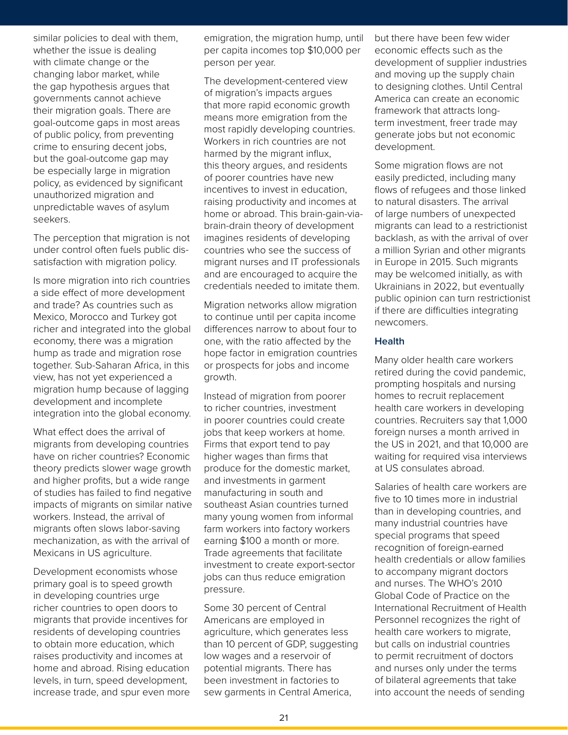similar policies to deal with them, whether the issue is dealing with climate change or the changing labor market, while the gap hypothesis argues that governments cannot achieve their migration goals. There are goal-outcome gaps in most areas of public policy, from preventing crime to ensuring decent jobs, but the goal-outcome gap may be especially large in migration policy, as evidenced by significant unauthorized migration and unpredictable waves of asylum seekers.

The perception that migration is not under control often fuels public dissatisfaction with migration policy.

Is more migration into rich countries a side effect of more development and trade? As countries such as Mexico, Morocco and Turkey got richer and integrated into the global economy, there was a migration hump as trade and migration rose together. Sub-Saharan Africa, in this view, has not yet experienced a migration hump because of lagging development and incomplete integration into the global economy.

What effect does the arrival of migrants from developing countries have on richer countries? Economic theory predicts slower wage growth and higher profits, but a wide range of studies has failed to find negative impacts of migrants on similar native workers. Instead, the arrival of migrants often slows labor-saving mechanization, as with the arrival of Mexicans in US agriculture.

Development economists whose primary goal is to speed growth in developing countries urge richer countries to open doors to migrants that provide incentives for residents of developing countries to obtain more education, which raises productivity and incomes at home and abroad. Rising education levels, in turn, speed development, increase trade, and spur even more

em, and angration, the migration hump, until and there have been ferement and the migration, the migration hump per capita incomes top \$10,000 per person per year.

> The development-centered view of migration's impacts argues that more rapid economic growth means more emigration from the most rapidly developing countries. Workers in rich countries are not harmed by the migrant influx, this theory argues, and residents of poorer countries have new incentives to invest in education, raising productivity and incomes at home or abroad. This brain-gain-viabrain-drain theory of development imagines residents of developing countries who see the success of migrant nurses and IT professionals and are encouraged to acquire the credentials needed to imitate them.

Migration networks allow migration to continue until per capita income differences narrow to about four to one, with the ratio affected by the hope factor in emigration countries or prospects for jobs and income growth.

Instead of migration from poorer to richer countries, investment in poorer countries could create jobs that keep workers at home. Firms that export tend to pay higher wages than firms that produce for the domestic market, and investments in garment manufacturing in south and southeast Asian countries turned many young women from informal farm workers into factory workers earning \$100 a month or more. Trade agreements that facilitate investment to create export-sector jobs can thus reduce emigration pressure.

Some 30 percent of Central Americans are employed in agriculture, which generates less than 10 percent of GDP, suggesting low wages and a reservoir of potential migrants. There has been investment in factories to sew garments in Central America,

Frida incomes top \$10,000 per<br>
person per year.<br>
The development-centered view<br>
and moving up the supply change indus<br>
and moving up the supply change is<br>
to designing clothes. Until Cer<br>
eve but there have been few wider economic effects such as the development of supplier industries and moving up the supply chain to designing clothes. Until Central America can create an economic framework that attracts longterm investment, freer trade may generate jobs but not economic development.

> Some migration flows are not easily predicted, including many flows of refugees and those linked to natural disasters. The arrival of large numbers of unexpected migrants can lead to a restrictionist backlash, as with the arrival of over a million Syrian and other migrants in Europe in 2015. Such migrants may be welcomed initially, as with Ukrainians in 2022, but eventually public opinion can turn restrictionist if there are difficulties integrating newcomers.

#### **Health**

Many older health care workers retired during the covid pandemic, prompting hospitals and nursing homes to recruit replacement health care workers in developing countries. Recruiters say that 1,000 foreign nurses a month arrived in the US in 2021, and that 10,000 are waiting for required visa interviews at US consulates abroad.

Salaries of health care workers are five to 10 times more in industrial than in developing countries, and many industrial countries have special programs that speed recognition of foreign-earned health credentials or allow families to accompany migrant doctors and nurses. The WHO's 2010 Global Code of Practice on the International Recruitment of Health Personnel recognizes the right of health care workers to migrate, but calls on industrial countries to permit recruitment of doctors and nurses only under the terms of bilateral agreements that take into account the needs of sending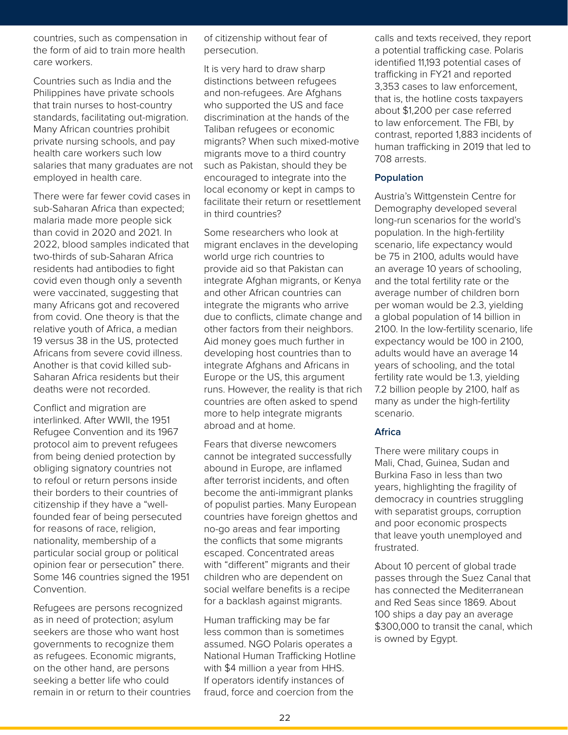countries, such as compensation in the form of aid to train more health care workers.

Countries such as India and the Philippines have private schools that train nurses to host-country standards, facilitating out-migration. Many African countries prohibit private nursing schools, and pay health care workers such low salaries that many graduates are not employed in health care.

There were far fewer covid cases in sub-Saharan Africa than expected; malaria made more people sick than covid in 2020 and 2021. In 2022, blood samples indicated that two-thirds of sub-Saharan Africa residents had antibodies to fight covid even though only a seventh were vaccinated, suggesting that many Africans got and recovered from covid. One theory is that the relative youth of Africa, a median 19 versus 38 in the US, protected Africans from severe covid illness. Another is that covid killed sub-Saharan Africa residents but their deaths were not recorded.

Conflict and migration are interlinked. After WWII, the 1951 Refugee Convention and its 1967 protocol aim to prevent refugees from being denied protection by obliging signatory countries not to refoul or return persons inside their borders to their countries of citizenship if they have a "wellfounded fear of being persecuted for reasons of race, religion, nationality, membership of a particular social group or political opinion fear or persecution" there. Some 146 countries signed the 1951 Convention.

Refugees are persons recognized as in need of protection; asylum seekers are those who want host governments to recognize them as refugees. Economic migrants, on the other hand, are persons seeking a better life who could remain in or return to their countries

ion in discrit and the calls and texts received persecution.

> It is very hard to draw sharp distinctions between refugees and non-refugees. Are Afghans who supported the US and face discrimination at the hands of the Taliban refugees or economic migrants? When such mixed-motive migrants move to a third country such as Pakistan, should they be encouraged to integrate into the local economy or kept in camps to facilitate their return or resettlement in third countries?

Some researchers who look at migrant enclaves in the developing world urge rich countries to provide aid so that Pakistan can integrate Afghan migrants, or Kenya and other African countries can integrate the migrants who arrive due to conflicts, climate change and other factors from their neighbors. Aid money goes much further in developing host countries than to integrate Afghans and Africans in Europe or the US, this argument runs. However, the reality is that rich countries are often asked to spend more to help integrate migrants abroad and at home.

Fears that diverse newcomers cannot be integrated successfully abound in Europe, are inflamed after terrorist incidents, and often become the anti-immigrant planks of populist parties. Many European countries have foreign ghettos and no-go areas and fear importing the conflicts that some migrants escaped. Concentrated areas with "different" migrants and their children who are dependent on social welfare benefits is a recipe for a backlash against migrants.

Human trafficking may be far less common than is sometimes assumed. NGO Polaris operates a National Human Trafficking Hotline with \$4 million a year from HHS. If operators identify instances of fraud, force and coercion from the

Fraction Persecution.<br>
A potential trafficking case. Political trafficking case. Political trafficking case. Political trafficking case<br>
d the distinctions between refugees<br>
Are Afghans<br>
trafficking in FY21 and reported<br>
t calls and texts received, they report a potential trafficking case. Polaris identified 11,193 potential cases of trafficking in FY21 and reported 3,353 cases to law enforcement, that is, the hotline costs taxpayers about \$1,200 per case referred to law enforcement. The FBI, by contrast, reported 1,883 incidents of human trafficking in 2019 that led to 708 arrests.

#### **Population**

Austria's Wittgenstein Centre for Demography developed several long-run scenarios for the world's population. In the high-fertility scenario, life expectancy would be 75 in 2100, adults would have an average 10 years of schooling, and the total fertility rate or the average number of children born per woman would be 2.3, yielding a global population of 14 billion in 2100. In the low-fertility scenario, life expectancy would be 100 in 2100, adults would have an average 14 years of schooling, and the total fertility rate would be 1.3, yielding 7.2 billion people by 2100, half as many as under the high-fertility scenario.

#### **Africa**

There were military coups in Mali, Chad, Guinea, Sudan and Burkina Faso in less than two years, highlighting the fragility of democracy in countries struggling with separatist groups, corruption and poor economic prospects that leave youth unemployed and frustrated.

About 10 percent of global trade passes through the Suez Canal that has connected the Mediterranean and Red Seas since 1869. About 100 ships a day pay an average \$300,000 to transit the canal, which is owned by Egypt.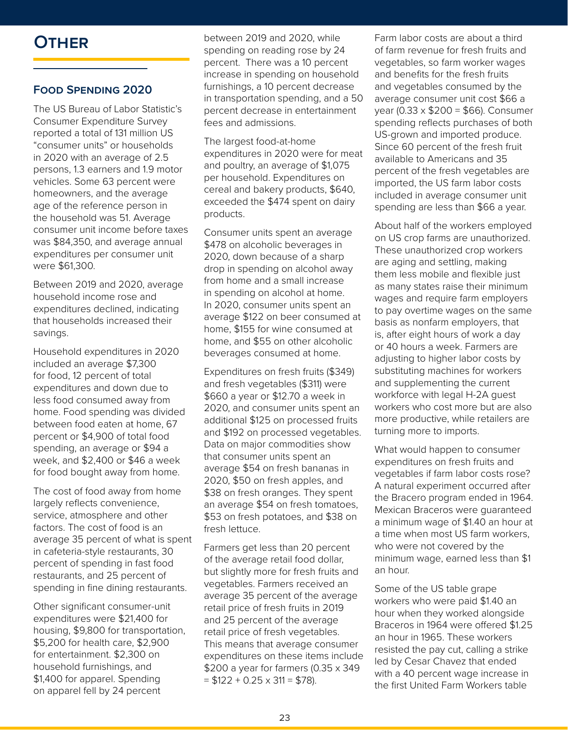# **Other**

# **Food Spending 2020**

The US Bureau of Labor Statistic's Consumer Expenditure Survey reported a total of 131 million US "consumer units" or households in 2020 with an average of 2.5 persons, 1.3 earners and 1.9 motor vehicles. Some 63 percent were homeowners, and the average age of the reference person in the household was 51. Average consumer unit income before taxes was \$84,350, and average annual expenditures per consumer unit were \$61,300.

Between 2019 and 2020, average household income rose and expenditures declined, indicating that households increased their savings.

Household expenditures in 2020 included an average \$7,300 for food, 12 percent of total expenditures and down due to less food consumed away from home. Food spending was divided between food eaten at home, 67 percent or \$4,900 of total food spending, an average or \$94 a week, and \$2,400 or \$46 a week for food bought away from home.

The cost of food away from home largely reflects convenience, service, atmosphere and other factors. The cost of food is an average 35 percent of what is spent in cafeteria-style restaurants, 30 percent of spending in fast food restaurants, and 25 percent of spending in fine dining restaurants.

Other significant consumer-unit expenditures were \$21,400 for housing, \$9,800 for transportation, \$5,200 for health care, \$2,900 for entertainment. \$2,300 on household furnishings, and \$1,400 for apparel. Spending on apparel fell by 24 percent

between 2019 and 2020, while Farm labor costs are ab spending on reading rose by 24 of farm revenue for fresh fruits<br>percent. There was a 10 percent vegetables, so farm worker was<br>increase in spending on household and benefits for the fresh fruits<br>furnishings, a 10 percent d spending on reading rose by 24 percent. There was a 10 percent increase in spending on household furnishings, a 10 percent decrease in transportation spending, and a 50 percent decrease in entertainment fees and admissions.

> The largest food-at-home expenditures in 2020 were for meat and poultry, an average of \$1,075 per household. Expenditures on cereal and bakery products, \$640, exceeded the \$474 spent on dairy products.

Consumer units spent an average \$478 on alcoholic beverages in 2020, down because of a sharp drop in spending on alcohol away from home and a small increase in spending on alcohol at home. In 2020, consumer units spent an average \$122 on beer consumed at home, \$155 for wine consumed at home, and \$55 on other alcoholic beverages consumed at home.

Expenditures on fresh fruits (\$349) and fresh vegetables (\$311) were \$660 a year or \$12.70 a week in 2020, and consumer units spent an additional \$125 on processed fruits and \$192 on processed vegetables. Data on major commodities show that consumer units spent an average \$54 on fresh bananas in 2020, \$50 on fresh apples, and \$38 on fresh oranges. They spent an average \$54 on fresh tomatoes, \$53 on fresh potatoes, and \$38 on fresh lettuce.

Farmers get less than 20 percent of the average retail food dollar, but slightly more for fresh fruits and vegetables. Farmers received an average 35 percent of the average retail price of fresh fruits in 2019 and 25 percent of the average retail price of fresh vegetables. This means that average consumer expenditures on these items include \$200 a year for farmers (0.35 x 349  $= $122 + 0.25 \times 311 = $78$ ).

Farm labor costs are about a third of farm revenue for fresh fruits and vegetables, so farm worker wages and benefits for the fresh fruits and vegetables consumed by the average consumer unit cost \$66 a year (0.33 x \$200 = \$66). Consumer spending reflects purchases of both US-grown and imported produce. Since 60 percent of the fresh fruit available to Americans and 35 percent of the fresh vegetables are imported, the US farm labor costs included in average consumer unit spending are less than \$66 a year.

About half of the workers employed on US crop farms are unauthorized. These unauthorized crop workers are aging and settling, making them less mobile and flexible just as many states raise their minimum wages and require farm employers to pay overtime wages on the same basis as nonfarm employers, that is, after eight hours of work a day or 40 hours a week. Farmers are adjusting to higher labor costs by substituting machines for workers and supplementing the current workforce with legal H-2A guest workers who cost more but are also more productive, while retailers are turning more to imports.

What would happen to consumer expenditures on fresh fruits and vegetables if farm labor costs rose? A natural experiment occurred after the Bracero program ended in 1964. Mexican Braceros were guaranteed a minimum wage of \$1.40 an hour at a time when most US farm workers, who were not covered by the minimum wage, earned less than \$1 an hour.

Some of the US table grape workers who were paid \$1.40 an hour when they worked alongside Braceros in 1964 were offered \$1.25 an hour in 1965. These workers resisted the pay cut, calling a strike led by Cesar Chavez that ended with a 40 percent wage increase in the first United Farm Workers table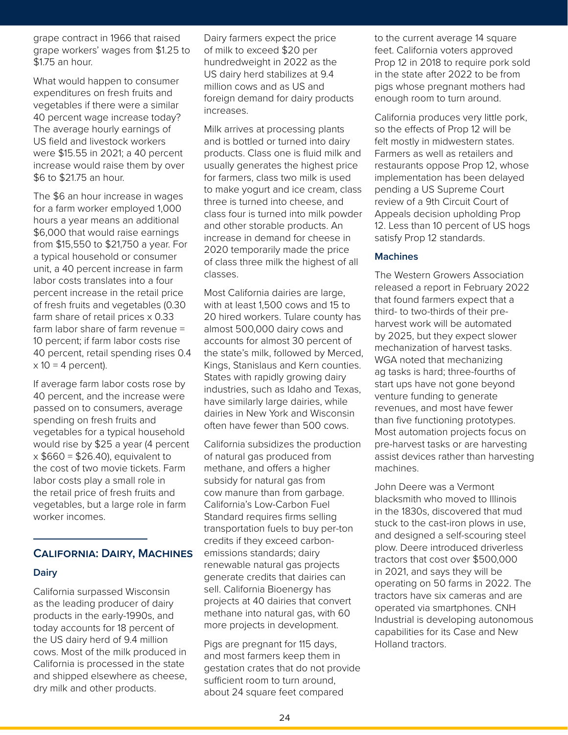grape contract in 1966 that raised grape workers' wages from \$1.25 to \$1.75 an hour.

What would happen to consumer expenditures on fresh fruits and vegetables if there were a similar 40 percent wage increase today? The average hourly earnings of US field and livestock workers were \$15.55 in 2021; a 40 percent increase would raise them by over \$6 to \$21.75 an hour.

The \$6 an hour increase in wages for a farm worker employed 1,000 hours a year means an additional \$6,000 that would raise earnings from \$15,550 to \$21,750 a year. For a typical household or consumer unit, a 40 percent increase in farm labor costs translates into a four percent increase in the retail price of fresh fruits and vegetables (0.30 farm share of retail prices x 0.33 farm labor share of farm revenue = 10 percent; if farm labor costs rise 40 percent, retail spending rises 0.4  $x$  10 = 4 percent).

If average farm labor costs rose by 40 percent, and the increase were passed on to consumers, average spending on fresh fruits and vegetables for a typical household would rise by \$25 a year (4 percent  $x$  \$660 = \$26.40), equivalent to the cost of two movie tickets. Farm labor costs play a small role in the retail price of fresh fruits and vegetables, but a large role in farm worker incomes.

# **California: Dairy, Machines**

#### **Dairy**

California surpassed Wisconsin as the leading producer of dairy products in the early-1990s, and today accounts for 18 percent of the US dairy herd of 9.4 million cows. Most of the milk produced in California is processed in the state and shipped elsewhere as cheese, dry milk and other products.

sed Dairy farmers expect the price the to the current average 1 m \$1.25 to of milk to exceed \$20 per feet. California voters approve<br>
hundredweight in 2022 as the VS dairy herd stabilizes at 9.4 in the state after 2022 to be frequire<br>
s and s US and foreign demand for dairy products en of milk to exceed \$20 per hundredweight in 2022 as the US dairy herd stabilizes at 9.4 million cows and as US and foreign demand for dairy products increases.

> Milk arrives at processing plants and is bottled or turned into dairy products. Class one is fluid milk and usually generates the highest price for farmers, class two milk is used to make yogurt and ice cream, class three is turned into cheese, and class four is turned into milk powder and other storable products. An increase in demand for cheese in 2020 temporarily made the price of class three milk the highest of all classes.

> Most California dairies are large, with at least 1,500 cows and 15 to 20 hired workers. Tulare county has almost 500,000 dairy cows and accounts for almost 30 percent of the state's milk, followed by Merced, Kings, Stanislaus and Kern counties. States with rapidly growing dairy industries, such as Idaho and Texas, have similarly large dairies, while dairies in New York and Wisconsin often have fewer than 500 cows.

California subsidizes the production of natural gas produced from methane, and offers a higher subsidy for natural gas from cow manure than from garbage. California's Low-Carbon Fuel Standard requires firms selling transportation fuels to buy per-ton credits if they exceed carbonemissions standards; dairy renewable natural gas projects generate credits that dairies can sell. California Bioenergy has projects at 40 dairies that convert methane into natural gas, with 60 more projects in development.

Pigs are pregnant for 115 days, and most farmers keep them in gestation crates that do not provide sufficient room to turn around, about 24 square feet compared

to the current average 14 square feet. California voters approved Prop 12 in 2018 to require pork sold in the state after 2022 to be from pigs whose pregnant mothers had enough room to turn around.

California produces very little pork, so the effects of Prop 12 will be felt mostly in midwestern states. Farmers as well as retailers and restaurants oppose Prop 12, whose implementation has been delayed pending a US Supreme Court review of a 9th Circuit Court of Appeals decision upholding Prop 12. Less than 10 percent of US hogs satisfy Prop 12 standards.

#### **Machines**

The Western Growers Association released a report in February 2022 that found farmers expect that a third- to two-thirds of their preharvest work will be automated by 2025, but they expect slower mechanization of harvest tasks. WGA noted that mechanizing ag tasks is hard; three-fourths of start ups have not gone beyond venture funding to generate revenues, and most have fewer than five functioning prototypes. Most automation projects focus on pre-harvest tasks or are harvesting assist devices rather than harvesting machines.

John Deere was a Vermont blacksmith who moved to Illinois in the 1830s, discovered that mud stuck to the cast-iron plows in use, and designed a self-scouring steel plow. Deere introduced driverless tractors that cost over \$500,000 in 2021, and says they will be operating on 50 farms in 2022. The tractors have six cameras and are operated via smartphones. CNH Industrial is developing autonomous capabilities for its Case and New Holland tractors.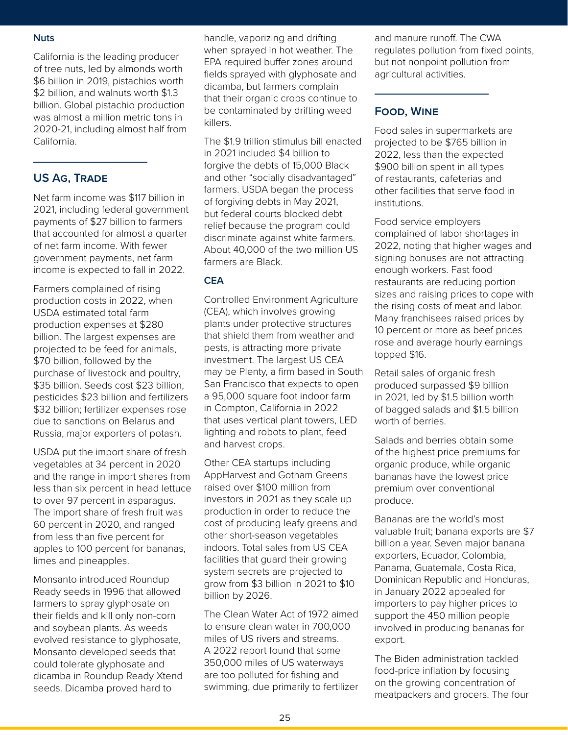#### **Nuts**

California is the leading producer of tree nuts, led by almonds worth \$6 billion in 2019, pistachios worth \$2 billion, and walnuts worth \$1.3 billion. Global pistachio production was almost a million metric tons in 2020-21, including almost half from California.

# **US AG, TRADE**

Net farm income was \$117 billion in 2021, including federal government payments of \$27 billion to farmers that accounted for almost a quarter of net farm income. With fewer government payments, net farm income is expected to fall in 2022.

Farmers complained of rising production costs in 2022, when USDA estimated total farm production expenses at \$280 billion. The largest expenses are projected to be feed for animals, \$70 billion, followed by the purchase of livestock and poultry, \$35 billion. Seeds cost \$23 billion, pesticides \$23 billion and fertilizers \$32 billion; fertilizer expenses rose due to sanctions on Belarus and Russia, major exporters of potash.

USDA put the import share of fresh vegetables at 34 percent in 2020 and the range in import shares from less than six percent in head lettuce to over 97 percent in asparagus. The import share of fresh fruit was 60 percent in 2020, and ranged from less than five percent for apples to 100 percent for bananas, limes and pineapples.

Monsanto introduced Roundup Ready seeds in 1996 that allowed farmers to spray glyphosate on their fields and kill only non-corn and soybean plants. As weeds evolved resistance to glyphosate, Monsanto developed seeds that could tolerate glyphosate and dicamba in Roundup Ready Xtend seeds. Dicamba proved hard to

agricultural and the band and the band and the handle, vaporizing and drifting and manure runoff. The when sprayed in hot weather. The regulates pollution from fixed pollution from fixed pollution from EPA required buffer zones around but not nonpoint pollution from fields sprayed with glyphosate and agricultural activitie when sprayed in hot weather. The EPA required buffer zones around fields sprayed with glyphosate and dicamba, but farmers complain that their organic crops continue to be contaminated by drifting weed killers.

> The \$1.9 trillion stimulus bill enacted in 2021 included \$4 billion to forgive the debts of 15,000 Black and other "socially disadvantaged" farmers. USDA began the process of forgiving debts in May 2021, but federal courts blocked debt relief because the program could discriminate against white farmers. About 40,000 of the two million US farmers are Black.

# **CEA**

Controlled Environment Agriculture (CEA), which involves growing plants under protective structures that shield them from weather and pests, is attracting more private investment. The largest US CEA may be Plenty, a firm based in South San Francisco that expects to open a 95,000 square foot indoor farm in Compton, California in 2022 that uses vertical plant towers, LED lighting and robots to plant, feed and harvest crops.

Other CEA startups including AppHarvest and Gotham Greens raised over \$100 million from investors in 2021 as they scale up production in order to reduce the cost of producing leafy greens and other short-season vegetables indoors. Total sales from US CEA facilities that guard their growing system secrets are projected to grow from \$3 billion in 2021 to \$10 billion by 2026.

The Clean Water Act of 1972 aimed to ensure clean water in 700,000 miles of US rivers and streams. A 2022 report found that some 350,000 miles of US waterways are too polluted for fishing and swimming, due primarily to fertilizer and manure runoff. The CWA regulates pollution from fixed points, but not nonpoint pollution from agricultural activities.

# **Food, Wine**

Food sales in supermarkets are projected to be \$765 billion in 2022, less than the expected \$900 billion spent in all types of restaurants, cafeterias and other facilities that serve food in institutions.

Food service employers complained of labor shortages in 2022, noting that higher wages and signing bonuses are not attracting enough workers. Fast food restaurants are reducing portion sizes and raising prices to cope with the rising costs of meat and labor. Many franchisees raised prices by 10 percent or more as beef prices rose and average hourly earnings topped \$16.

Retail sales of organic fresh produced surpassed \$9 billion in 2021, led by \$1.5 billion worth of bagged salads and \$1.5 billion worth of berries.

Salads and berries obtain some of the highest price premiums for organic produce, while organic bananas have the lowest price premium over conventional produce.

Bananas are the world's most valuable fruit; banana exports are \$7 billion a year. Seven major banana exporters, Ecuador, Colombia, Panama, Guatemala, Costa Rica, Dominican Republic and Honduras, in January 2022 appealed for importers to pay higher prices to support the 450 million people involved in producing bananas for export.

The Biden administration tackled food-price inflation by focusing on the growing concentration of meatpackers and grocers. The four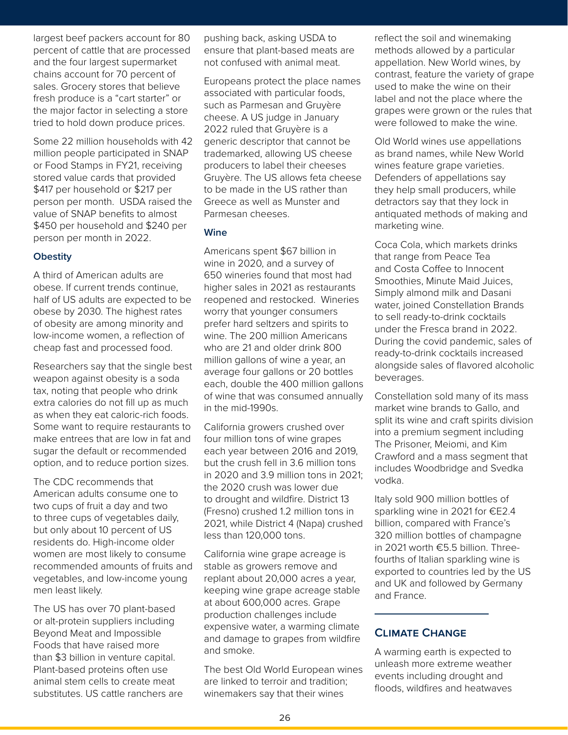largest beef packers account for 80 percent of cattle that are processed and the four largest supermarket chains account for 70 percent of sales. Grocery stores that believe fresh produce is a "cart starter" or the major factor in selecting a store tried to hold down produce prices.

Some 22 million households with 42 million people participated in SNAP or Food Stamps in FY21, receiving stored value cards that provided \$417 per household or \$217 per person per month. USDA raised the value of SNAP benefits to almost \$450 per household and \$240 per person per month in 2022.

#### **Obestity**

A third of American adults are obese. If current trends continue, half of US adults are expected to be obese by 2030. The highest rates of obesity are among minority and low-income women, a reflection of cheap fast and processed food.

Researchers say that the single best weapon against obesity is a soda tax, noting that people who drink extra calories do not fill up as much as when they eat caloric-rich foods. Some want to require restaurants to make entrees that are low in fat and sugar the default or recommended option, and to reduce portion sizes.

The CDC recommends that American adults consume one to two cups of fruit a day and two to three cups of vegetables daily, but only about 10 percent of US residents do. High-income older women are most likely to consume recommended amounts of fruits and vegetables, and low-income young men least likely.

The US has over 70 plant-based or alt-protein suppliers including Beyond Meat and Impossible Foods that have raised more than \$3 billion in venture capital. Plant-based proteins often use animal stem cells to create meat substitutes. US cattle ranchers are

for 80 pushing back, asking USDA to the reflect the soil and wine ensure that plant-based meats are not confused with animal meat.

> Europeans protect the place names associated with particular foods, such as Parmesan and Gruyère cheese. A US judge in January 2022 ruled that Gruyère is a generic descriptor that cannot be trademarked, allowing US cheese producers to label their cheeses Gruyère. The US allows feta cheese to be made in the US rather than Greece as well as Munster and Parmesan cheeses.

# **Wine**

Americans spent \$67 billion in wine in 2020, and a survey of 650 wineries found that most had higher sales in 2021 as restaurants reopened and restocked. Wineries worry that younger consumers prefer hard seltzers and spirits to wine. The 200 million Americans who are 21 and older drink 800 million gallons of wine a year, an average four gallons or 20 bottles each, double the 400 million gallons of wine that was consumed annually in the mid-1990s.

California growers crushed over four million tons of wine grapes each year between 2016 and 2019, but the crush fell in 3.6 million tons in 2020 and 3.9 million tons in 2021; the 2020 crush was lower due to drought and wildfire. District 13 (Fresno) crushed 1.2 million tons in 2021, while District 4 (Napa) crushed less than 120,000 tons.

California wine grape acreage is stable as growers remove and replant about 20,000 acres a year, keeping wine grape acreage stable at about 600,000 acres. Grape production challenges include expensive water, a warming climate and damage to grapes from wildfire and smoke.

The best Old World European wines are linked to terroir and tradition; winemakers say that their wines

Fracessed ensure that plant-based meats are methods allowed by a particular<br>
market not confused with animal meat. appellation. New World wines,<br>
tent of Europeans protect the place names<br>
associated with particular foods, reflect the soil and winemaking methods allowed by a particular appellation. New World wines, by contrast, feature the variety of grape used to make the wine on their label and not the place where the grapes were grown or the rules that were followed to make the wine.

> Old World wines use appellations as brand names, while New World wines feature grape varieties. Defenders of appellations say they help small producers, while detractors say that they lock in antiquated methods of making and marketing wine.

Coca Cola, which markets drinks that range from Peace Tea and Costa Coffee to Innocent Smoothies, Minute Maid Juices, Simply almond milk and Dasani water, joined Constellation Brands to sell ready-to-drink cocktails under the Fresca brand in 2022. During the covid pandemic, sales of ready-to-drink cocktails increased alongside sales of flavored alcoholic beverages.

Constellation sold many of its mass market wine brands to Gallo, and split its wine and craft spirits division into a premium segment including The Prisoner, Meiomi, and Kim Crawford and a mass segment that includes Woodbridge and Svedka vodka.

Italy sold 900 million bottles of sparkling wine in 2021 for €E2.4 billion, compared with France's 320 million bottles of champagne in 2021 worth €5.5 billion. Threefourths of Italian sparkling wine is exported to countries led by the US and UK and followed by Germany and France.

# **Climate Change**

A warming earth is expected to unleash more extreme weather events including drought and floods, wildfires and heatwaves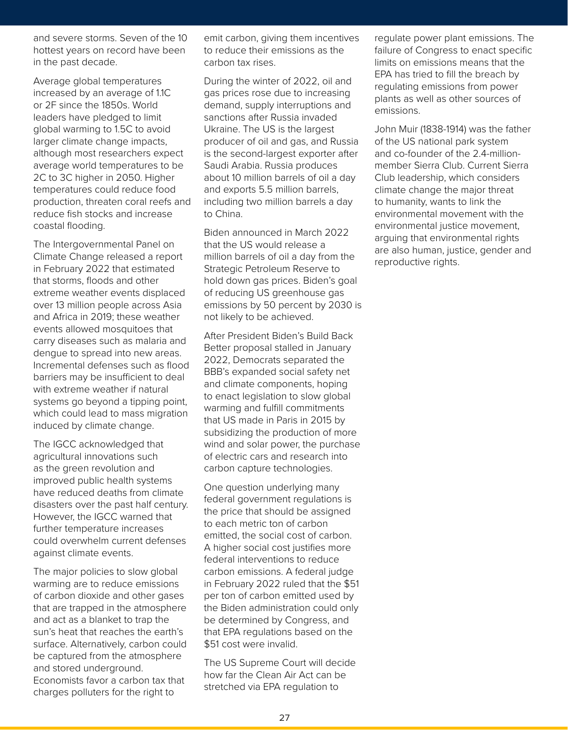and severe storms. Seven of the 10 hottest years on record have been in the past decade.

Average global temperatures increased by an average of 1.1C or 2F since the 1850s. World leaders have pledged to limit global warming to 1.5C to avoid larger climate change impacts, although most researchers expect average world temperatures to be 2C to 3C higher in 2050. Higher temperatures could reduce food production, threaten coral reefs and reduce fish stocks and increase coastal flooding.

The Intergovernmental Panel on Climate Change released a report in February 2022 that estimated that storms, floods and other extreme weather events displaced over 13 million people across Asia and Africa in 2019; these weather events allowed mosquitoes that carry diseases such as malaria and dengue to spread into new areas. Incremental defenses such as flood barriers may be insufficient to deal with extreme weather if natural systems go beyond a tipping point, which could lead to mass migration induced by climate change.

The IGCC acknowledged that agricultural innovations such as the green revolution and improved public health systems have reduced deaths from climate disasters over the past half century. However, the IGCC warned that further temperature increases could overwhelm current defenses against climate events.

The major policies to slow global warming are to reduce emissions of carbon dioxide and other gases that are trapped in the atmosphere and act as a blanket to trap the sun's heat that reaches the earth's surface. Alternatively, carbon could be captured from the atmosphere and stored underground. Economists favor a carbon tax that charges polluters for the right to

we<br>Agricultural and and an equilate power plant en the 10 mention, giving them incentives are guilate power plant to reduce their emissions as the carbon tax rises.

> During the winter of 2022, oil and gas prices rose due to increasing demand, supply interruptions and sanctions after Russia invaded Ukraine. The US is the largest producer of oil and gas, and Russia is the second-largest exporter after Saudi Arabia. Russia produces about 10 million barrels of oil a day and exports 5.5 million barrels, including two million barrels a day to China.

Biden announced in March 2022 that the US would release a million barrels of oil a day from the Strategic Petroleum Reserve to hold down gas prices. Biden's goal of reducing US greenhouse gas emissions by 50 percent by 2030 is not likely to be achieved.

After President Biden's Build Back Better proposal stalled in January 2022, Democrats separated the BBB's expanded social safety net and climate components, hoping to enact legislation to slow global warming and fulfill commitments that US made in Paris in 2015 by subsidizing the production of more wind and solar power, the purchase of electric cars and research into carbon capture technologies.

One question underlying many federal government regulations is the price that should be assigned to each metric ton of carbon emitted, the social cost of carbon. A higher social cost justifies more federal interventions to reduce carbon emissions. A federal judge in February 2022 ruled that the \$51 per ton of carbon emitted used by the Biden administration could only be determined by Congress, and that EPA regulations based on the \$51 cost were invalid.

The US Supreme Court will decide how far the Clean Air Act can be stretched via EPA regulation to

Fracture been to reduce their emissions as the carbon tax rises.<br>
Carbon tax rises.<br>
During the winter of 2022, oil and<br>
f 1.1C gas prices rose due to increasing<br>
plants as well as other sources regulate power plant emissions. The failure of Congress to enact specific limits on emissions means that the EPA has tried to fill the breach by regulating emissions from power plants as well as other sources of emissions.

> John Muir (1838-1914) was the father of the US national park system and co-founder of the 2.4-millionmember Sierra Club. Current Sierra Club leadership, which considers climate change the major threat to humanity, wants to link the environmental movement with the environmental justice movement. arguing that environmental rights are also human, justice, gender and reproductive rights.